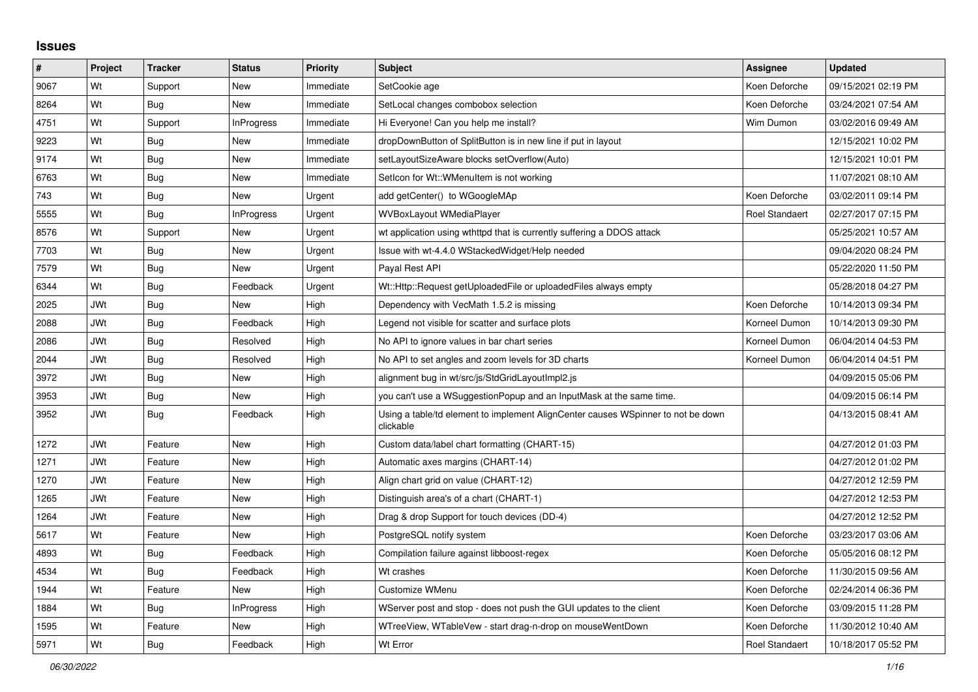## **Issues**

| $\vert$ # | Project    | <b>Tracker</b> | <b>Status</b>     | <b>Priority</b> | <b>Subject</b>                                                                                | <b>Assignee</b> | <b>Updated</b>      |
|-----------|------------|----------------|-------------------|-----------------|-----------------------------------------------------------------------------------------------|-----------------|---------------------|
| 9067      | Wt         | Support        | New               | Immediate       | SetCookie age                                                                                 | Koen Deforche   | 09/15/2021 02:19 PM |
| 8264      | Wt         | Bug            | New               | Immediate       | SetLocal changes combobox selection                                                           | Koen Deforche   | 03/24/2021 07:54 AM |
| 4751      | Wt         | Support        | <b>InProgress</b> | Immediate       | Hi Everyone! Can you help me install?                                                         | Wim Dumon       | 03/02/2016 09:49 AM |
| 9223      | Wt         | Bug            | <b>New</b>        | Immediate       | dropDownButton of SplitButton is in new line if put in layout                                 |                 | 12/15/2021 10:02 PM |
| 9174      | Wt         | Bug            | New               | Immediate       | setLayoutSizeAware blocks setOverflow(Auto)                                                   |                 | 12/15/2021 10:01 PM |
| 6763      | Wt         | Bug            | New               | Immediate       | Setlcon for Wt::WMenuItem is not working                                                      |                 | 11/07/2021 08:10 AM |
| 743       | Wt         | Bug            | New               | Urgent          | add getCenter() to WGoogleMAp                                                                 | Koen Deforche   | 03/02/2011 09:14 PM |
| 5555      | Wt         | Bug            | <b>InProgress</b> | Urgent          | <b>WVBoxLayout WMediaPlayer</b>                                                               | Roel Standaert  | 02/27/2017 07:15 PM |
| 8576      | Wt         | Support        | New               | Urgent          | wt application using wthttpd that is currently suffering a DDOS attack                        |                 | 05/25/2021 10:57 AM |
| 7703      | Wt         | <b>Bug</b>     | New               | Urgent          | Issue with wt-4.4.0 WStackedWidget/Help needed                                                |                 | 09/04/2020 08:24 PM |
| 7579      | Wt         | Bug            | <b>New</b>        | Urgent          | Payal Rest API                                                                                |                 | 05/22/2020 11:50 PM |
| 6344      | Wt         | <b>Bug</b>     | Feedback          | Urgent          | Wt::Http::Request getUploadedFile or uploadedFiles always empty                               |                 | 05/28/2018 04:27 PM |
| 2025      | JWt        | <b>Bug</b>     | <b>New</b>        | High            | Dependency with VecMath 1.5.2 is missing                                                      | Koen Deforche   | 10/14/2013 09:34 PM |
| 2088      | <b>JWt</b> | <b>Bug</b>     | Feedback          | High            | Legend not visible for scatter and surface plots                                              | Korneel Dumon   | 10/14/2013 09:30 PM |
| 2086      | <b>JWt</b> | <b>Bug</b>     | Resolved          | High            | No API to ignore values in bar chart series                                                   | Korneel Dumon   | 06/04/2014 04:53 PM |
| 2044      | <b>JWt</b> | <b>Bug</b>     | Resolved          | High            | No API to set angles and zoom levels for 3D charts                                            | Korneel Dumon   | 06/04/2014 04:51 PM |
| 3972      | <b>JWt</b> | <b>Bug</b>     | New               | High            | alignment bug in wt/src/js/StdGridLayoutImpl2.js                                              |                 | 04/09/2015 05:06 PM |
| 3953      | <b>JWt</b> | <b>Bug</b>     | New               | High            | you can't use a WSuggestionPopup and an InputMask at the same time.                           |                 | 04/09/2015 06:14 PM |
| 3952      | JWt        | Bug            | Feedback          | High            | Using a table/td element to implement AlignCenter causes WSpinner to not be down<br>clickable |                 | 04/13/2015 08:41 AM |
| 1272      | JWt        | Feature        | <b>New</b>        | High            | Custom data/label chart formatting (CHART-15)                                                 |                 | 04/27/2012 01:03 PM |
| 1271      | JWt        | Feature        | New               | High            | Automatic axes margins (CHART-14)                                                             |                 | 04/27/2012 01:02 PM |
| 1270      | JWt        | Feature        | New               | High            | Align chart grid on value (CHART-12)                                                          |                 | 04/27/2012 12:59 PM |
| 1265      | <b>JWt</b> | Feature        | <b>New</b>        | High            | Distinguish area's of a chart (CHART-1)                                                       |                 | 04/27/2012 12:53 PM |
| 1264      | <b>JWt</b> | Feature        | New               | High            | Drag & drop Support for touch devices (DD-4)                                                  |                 | 04/27/2012 12:52 PM |
| 5617      | Wt         | Feature        | New               | High            | PostgreSQL notify system                                                                      | Koen Deforche   | 03/23/2017 03:06 AM |
| 4893      | Wt         | <b>Bug</b>     | Feedback          | High            | Compilation failure against libboost-regex                                                    | Koen Deforche   | 05/05/2016 08:12 PM |
| 4534      | Wt         | <b>Bug</b>     | Feedback          | High            | Wt crashes                                                                                    | Koen Deforche   | 11/30/2015 09:56 AM |
| 1944      | Wt         | Feature        | <b>New</b>        | High            | Customize WMenu                                                                               | Koen Deforche   | 02/24/2014 06:36 PM |
| 1884      | Wt         | Bug            | InProgress        | High            | WServer post and stop - does not push the GUI updates to the client                           | Koen Deforche   | 03/09/2015 11:28 PM |
| 1595      | Wt         | Feature        | New               | High            | WTreeView, WTableVew - start drag-n-drop on mouseWentDown                                     | Koen Deforche   | 11/30/2012 10:40 AM |
| 5971      | Wt         | <b>Bug</b>     | Feedback          | High            | Wt Error                                                                                      | Roel Standaert  | 10/18/2017 05:52 PM |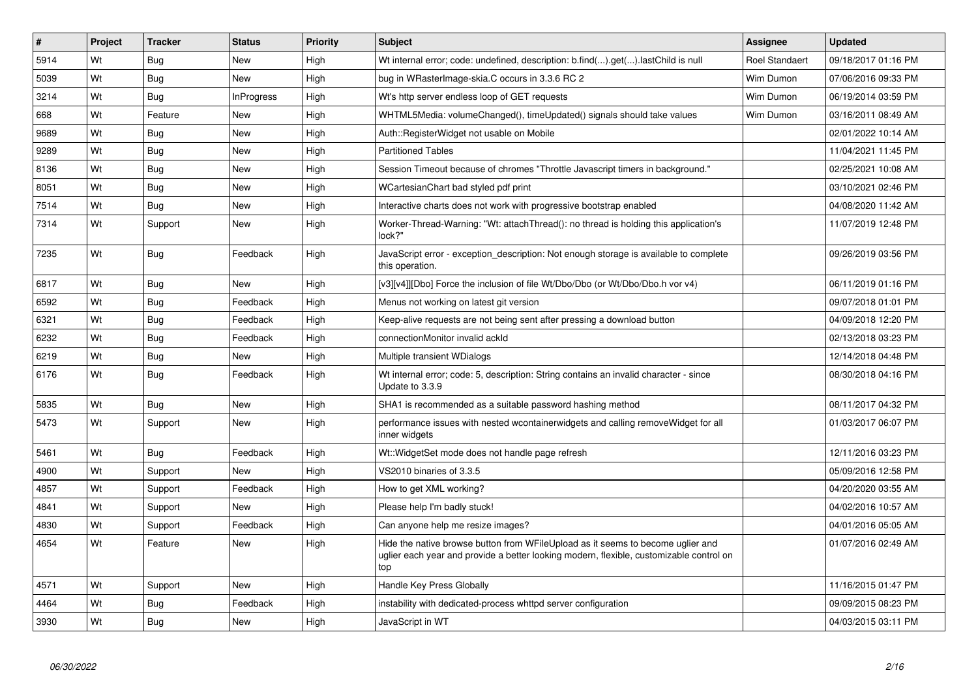| #    | Project | <b>Tracker</b> | <b>Status</b>     | <b>Priority</b> | <b>Subject</b>                                                                                                                                                                    | <b>Assignee</b>       | <b>Updated</b>      |
|------|---------|----------------|-------------------|-----------------|-----------------------------------------------------------------------------------------------------------------------------------------------------------------------------------|-----------------------|---------------------|
| 5914 | Wt      | Bug            | <b>New</b>        | High            | Wt internal error; code: undefined, description: b.find().get().lastChild is null                                                                                                 | <b>Roel Standaert</b> | 09/18/2017 01:16 PM |
| 5039 | Wt      | Bug            | <b>New</b>        | High            | bug in WRasterImage-skia.C occurs in 3.3.6 RC 2                                                                                                                                   | Wim Dumon             | 07/06/2016 09:33 PM |
| 3214 | Wt      | Bug            | <b>InProgress</b> | High            | Wt's http server endless loop of GET requests                                                                                                                                     | Wim Dumon             | 06/19/2014 03:59 PM |
| 668  | Wt      | Feature        | <b>New</b>        | High            | WHTML5Media: volumeChanged(), timeUpdated() signals should take values                                                                                                            | Wim Dumon             | 03/16/2011 08:49 AM |
| 9689 | Wt      | Bug            | <b>New</b>        | High            | Auth::RegisterWidget not usable on Mobile                                                                                                                                         |                       | 02/01/2022 10:14 AM |
| 9289 | Wt      | Bug            | <b>New</b>        | High            | <b>Partitioned Tables</b>                                                                                                                                                         |                       | 11/04/2021 11:45 PM |
| 8136 | Wt      | <b>Bug</b>     | New               | High            | Session Timeout because of chromes "Throttle Javascript timers in background."                                                                                                    |                       | 02/25/2021 10:08 AM |
| 8051 | Wt      | Bug            | <b>New</b>        | High            | WCartesianChart bad styled pdf print                                                                                                                                              |                       | 03/10/2021 02:46 PM |
| 7514 | Wt      | <b>Bug</b>     | <b>New</b>        | High            | Interactive charts does not work with progressive bootstrap enabled                                                                                                               |                       | 04/08/2020 11:42 AM |
| 7314 | Wt      | Support        | New               | High            | Worker-Thread-Warning: "Wt: attachThread(): no thread is holding this application's<br>lock?"                                                                                     |                       | 11/07/2019 12:48 PM |
| 7235 | Wt      | Bug            | Feedback          | High            | JavaScript error - exception description: Not enough storage is available to complete<br>this operation.                                                                          |                       | 09/26/2019 03:56 PM |
| 6817 | Wt      | Bug            | <b>New</b>        | High            | [v3][v4]][Dbo] Force the inclusion of file Wt/Dbo/Dbo (or Wt/Dbo/Dbo.h vor v4)                                                                                                    |                       | 06/11/2019 01:16 PM |
| 6592 | Wt      | <b>Bug</b>     | Feedback          | High            | Menus not working on latest git version                                                                                                                                           |                       | 09/07/2018 01:01 PM |
| 6321 | Wt      | <b>Bug</b>     | Feedback          | High            | Keep-alive requests are not being sent after pressing a download button                                                                                                           |                       | 04/09/2018 12:20 PM |
| 6232 | Wt      | Bug            | Feedback          | High            | connectionMonitor invalid ackId                                                                                                                                                   |                       | 02/13/2018 03:23 PM |
| 6219 | Wt      | <b>Bug</b>     | <b>New</b>        | High            | Multiple transient WDialogs                                                                                                                                                       |                       | 12/14/2018 04:48 PM |
| 6176 | Wt      | Bug            | Feedback          | High            | Wt internal error; code: 5, description: String contains an invalid character - since<br>Update to 3.3.9                                                                          |                       | 08/30/2018 04:16 PM |
| 5835 | Wt      | Bug            | New               | High            | SHA1 is recommended as a suitable password hashing method                                                                                                                         |                       | 08/11/2017 04:32 PM |
| 5473 | Wt      | Support        | <b>New</b>        | High            | performance issues with nested wcontainerwidgets and calling remove Widget for all<br>inner widgets                                                                               |                       | 01/03/2017 06:07 PM |
| 5461 | Wt      | Bug            | Feedback          | High            | Wt:: WidgetSet mode does not handle page refresh                                                                                                                                  |                       | 12/11/2016 03:23 PM |
| 4900 | Wt      | Support        | <b>New</b>        | High            | VS2010 binaries of 3.3.5                                                                                                                                                          |                       | 05/09/2016 12:58 PM |
| 4857 | Wt      | Support        | Feedback          | High            | How to get XML working?                                                                                                                                                           |                       | 04/20/2020 03:55 AM |
| 4841 | Wt      | Support        | <b>New</b>        | High            | Please help I'm badly stuck!                                                                                                                                                      |                       | 04/02/2016 10:57 AM |
| 4830 | Wt      | Support        | Feedback          | High            | Can anyone help me resize images?                                                                                                                                                 |                       | 04/01/2016 05:05 AM |
| 4654 | Wt      | Feature        | <b>New</b>        | High            | Hide the native browse button from WFileUpload as it seems to become uglier and<br>uglier each year and provide a better looking modern, flexible, customizable control on<br>top |                       | 01/07/2016 02:49 AM |
| 4571 | Wt      | Support        | <b>New</b>        | High            | Handle Key Press Globally                                                                                                                                                         |                       | 11/16/2015 01:47 PM |
| 4464 | Wt      | <b>Bug</b>     | Feedback          | High            | instability with dedicated-process whttpd server configuration                                                                                                                    |                       | 09/09/2015 08:23 PM |
| 3930 | Wt      | <b>Bug</b>     | <b>New</b>        | High            | JavaScript in WT                                                                                                                                                                  |                       | 04/03/2015 03:11 PM |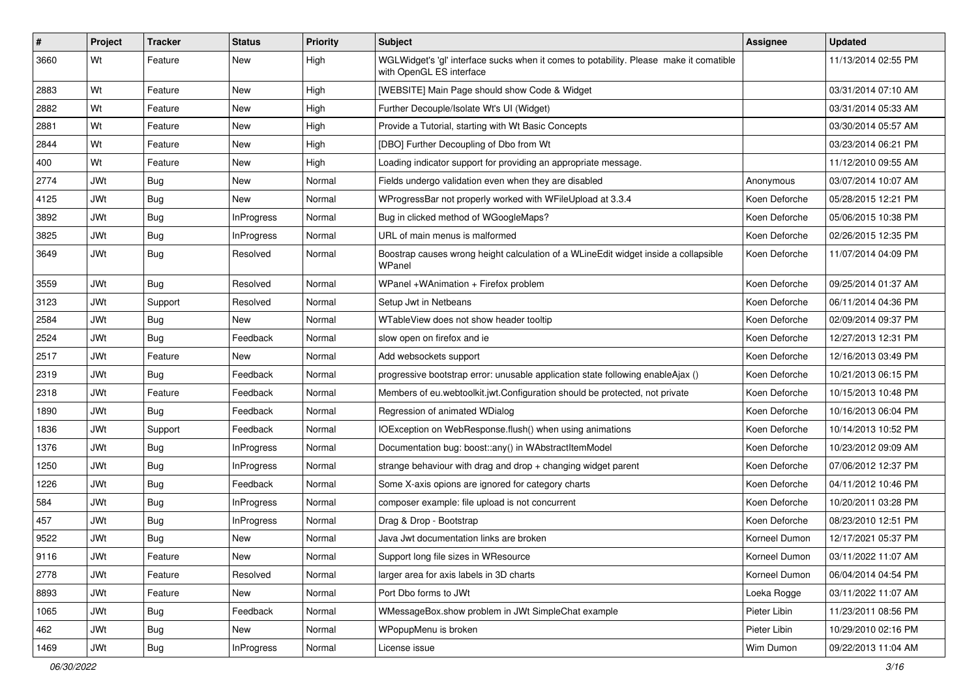| $\sharp$ | <b>Project</b> | <b>Tracker</b> | <b>Status</b>     | <b>Priority</b> | <b>Subject</b>                                                                                                     | <b>Assignee</b> | <b>Updated</b>      |
|----------|----------------|----------------|-------------------|-----------------|--------------------------------------------------------------------------------------------------------------------|-----------------|---------------------|
| 3660     | Wt             | Feature        | New               | High            | WGLWidget's 'gl' interface sucks when it comes to potability. Please make it comatible<br>with OpenGL ES interface |                 | 11/13/2014 02:55 PM |
| 2883     | Wt             | Feature        | New               | High            | [WEBSITE] Main Page should show Code & Widget                                                                      |                 | 03/31/2014 07:10 AM |
| 2882     | Wt             | Feature        | New               | High            | Further Decouple/Isolate Wt's UI (Widget)                                                                          |                 | 03/31/2014 05:33 AM |
| 2881     | Wt             | Feature        | New               | High            | Provide a Tutorial, starting with Wt Basic Concepts                                                                |                 | 03/30/2014 05:57 AM |
| 2844     | Wt             | Feature        | New               | High            | [DBO] Further Decoupling of Dbo from Wt                                                                            |                 | 03/23/2014 06:21 PM |
| 400      | Wt             | Feature        | New               | High            | Loading indicator support for providing an appropriate message.                                                    |                 | 11/12/2010 09:55 AM |
| 2774     | <b>JWt</b>     | Bug            | New               | Normal          | Fields undergo validation even when they are disabled                                                              | Anonymous       | 03/07/2014 10:07 AM |
| 4125     | <b>JWt</b>     | Bug            | New               | Normal          | WProgressBar not properly worked with WFileUpload at 3.3.4                                                         | Koen Deforche   | 05/28/2015 12:21 PM |
| 3892     | <b>JWt</b>     | Bug            | <b>InProgress</b> | Normal          | Bug in clicked method of WGoogleMaps?                                                                              | Koen Deforche   | 05/06/2015 10:38 PM |
| 3825     | <b>JWt</b>     | Bug            | InProgress        | Normal          | URL of main menus is malformed                                                                                     | Koen Deforche   | 02/26/2015 12:35 PM |
| 3649     | <b>JWt</b>     | Bug            | Resolved          | Normal          | Boostrap causes wrong height calculation of a WLineEdit widget inside a collapsible<br>WPanel                      | Koen Deforche   | 11/07/2014 04:09 PM |
| 3559     | <b>JWt</b>     | Bug            | Resolved          | Normal          | WPanel +WAnimation + Firefox problem                                                                               | Koen Deforche   | 09/25/2014 01:37 AM |
| 3123     | <b>JWt</b>     | Support        | Resolved          | Normal          | Setup Jwt in Netbeans                                                                                              | Koen Deforche   | 06/11/2014 04:36 PM |
| 2584     | <b>JWt</b>     | Bug            | New               | Normal          | WTableView does not show header tooltip                                                                            | Koen Deforche   | 02/09/2014 09:37 PM |
| 2524     | <b>JWt</b>     | Bug            | Feedback          | Normal          | slow open on firefox and ie                                                                                        | Koen Deforche   | 12/27/2013 12:31 PM |
| 2517     | <b>JWt</b>     | Feature        | <b>New</b>        | Normal          | Add websockets support                                                                                             | Koen Deforche   | 12/16/2013 03:49 PM |
| 2319     | <b>JWt</b>     | Bug            | Feedback          | Normal          | progressive bootstrap error: unusable application state following enableAjax ()                                    | Koen Deforche   | 10/21/2013 06:15 PM |
| 2318     | <b>JWt</b>     | Feature        | Feedback          | Normal          | Members of eu.webtoolkit.jwt.Configuration should be protected, not private                                        | Koen Deforche   | 10/15/2013 10:48 PM |
| 1890     | <b>JWt</b>     | Bug            | Feedback          | Normal          | Regression of animated WDialog                                                                                     | Koen Deforche   | 10/16/2013 06:04 PM |
| 1836     | <b>JWt</b>     | Support        | Feedback          | Normal          | IOException on WebResponse.flush() when using animations                                                           | Koen Deforche   | 10/14/2013 10:52 PM |
| 1376     | <b>JWt</b>     | Bug            | <b>InProgress</b> | Normal          | Documentation bug: boost::any() in WAbstractItemModel                                                              | Koen Deforche   | 10/23/2012 09:09 AM |
| 1250     | <b>JWt</b>     | Bug            | InProgress        | Normal          | strange behaviour with drag and drop $+$ changing widget parent                                                    | Koen Deforche   | 07/06/2012 12:37 PM |
| 1226     | <b>JWt</b>     | <b>Bug</b>     | Feedback          | Normal          | Some X-axis opions are ignored for category charts                                                                 | Koen Deforche   | 04/11/2012 10:46 PM |
| 584      | <b>JWt</b>     | Bug            | <b>InProgress</b> | Normal          | composer example: file upload is not concurrent                                                                    | Koen Deforche   | 10/20/2011 03:28 PM |
| 457      | <b>JWt</b>     | Bug            | InProgress        | Normal          | Drag & Drop - Bootstrap                                                                                            | Koen Deforche   | 08/23/2010 12:51 PM |
| 9522     | <b>JWt</b>     | Bug            | New               | Normal          | Java Jwt documentation links are broken                                                                            | Korneel Dumon   | 12/17/2021 05:37 PM |
| 9116     | <b>JWt</b>     | Feature        | New               | Normal          | Support long file sizes in WResource                                                                               | Korneel Dumon   | 03/11/2022 11:07 AM |
| 2778     | JWt            | Feature        | Resolved          | Normal          | larger area for axis labels in 3D charts                                                                           | Korneel Dumon   | 06/04/2014 04:54 PM |
| 8893     | <b>JWt</b>     | Feature        | New               | Normal          | Port Dbo forms to JWt                                                                                              | Loeka Rogge     | 03/11/2022 11:07 AM |
| 1065     | JWt            | <b>Bug</b>     | Feedback          | Normal          | WMessageBox.show problem in JWt SimpleChat example                                                                 | Pieter Libin    | 11/23/2011 08:56 PM |
| 462      | JWt            | <b>Bug</b>     | New               | Normal          | WPopupMenu is broken                                                                                               | Pieter Libin    | 10/29/2010 02:16 PM |
| 1469     | JWt            | Bug            | InProgress        | Normal          | License issue                                                                                                      | Wim Dumon       | 09/22/2013 11:04 AM |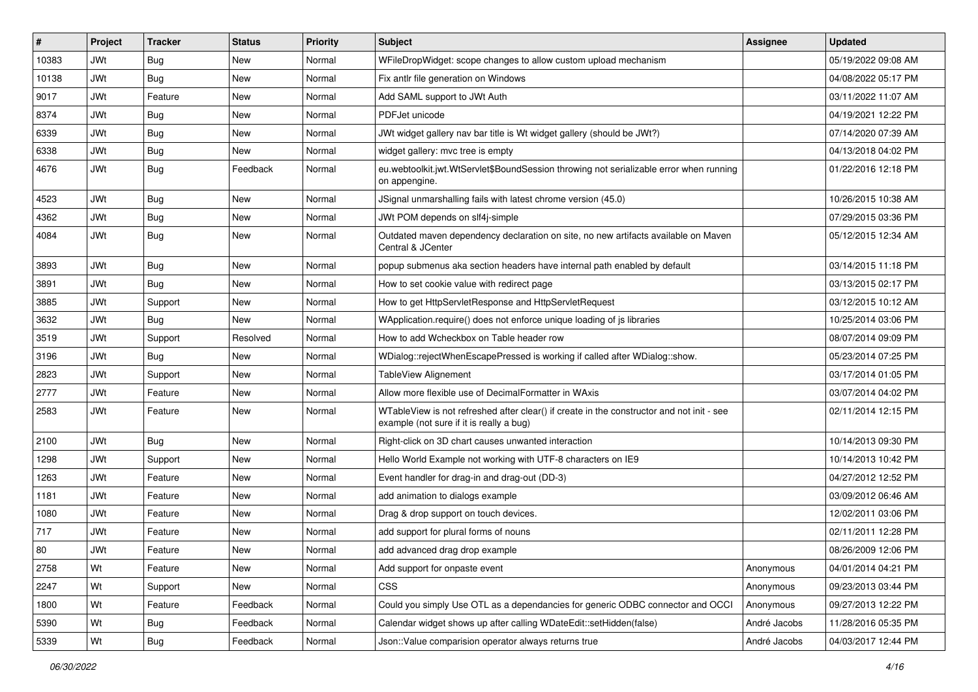| #     | Project    | <b>Tracker</b> | <b>Status</b> | <b>Priority</b> | Subject                                                                                                                               | <b>Assignee</b> | <b>Updated</b>      |
|-------|------------|----------------|---------------|-----------------|---------------------------------------------------------------------------------------------------------------------------------------|-----------------|---------------------|
| 10383 | JWt        | <b>Bug</b>     | New           | Normal          | WFileDropWidget: scope changes to allow custom upload mechanism                                                                       |                 | 05/19/2022 09:08 AM |
| 10138 | JWt        | Bug            | <b>New</b>    | Normal          | Fix antlr file generation on Windows                                                                                                  |                 | 04/08/2022 05:17 PM |
| 9017  | JWt        | Feature        | New           | Normal          | Add SAML support to JWt Auth                                                                                                          |                 | 03/11/2022 11:07 AM |
| 8374  | <b>JWt</b> | <b>Bug</b>     | <b>New</b>    | Normal          | PDFJet unicode                                                                                                                        |                 | 04/19/2021 12:22 PM |
| 6339  | <b>JWt</b> | Bug            | New           | Normal          | JWt widget gallery nav bar title is Wt widget gallery (should be JWt?)                                                                |                 | 07/14/2020 07:39 AM |
| 6338  | JWt        | <b>Bug</b>     | New           | Normal          | widget gallery: mvc tree is empty                                                                                                     |                 | 04/13/2018 04:02 PM |
| 4676  | <b>JWt</b> | Bug            | Feedback      | Normal          | eu.webtoolkit.jwt.WtServlet\$BoundSession throwing not serializable error when running<br>on appengine.                               |                 | 01/22/2016 12:18 PM |
| 4523  | <b>JWt</b> | Bug            | New           | Normal          | JSignal unmarshalling fails with latest chrome version (45.0)                                                                         |                 | 10/26/2015 10:38 AM |
| 4362  | <b>JWt</b> | Bug            | <b>New</b>    | Normal          | JWt POM depends on slf4j-simple                                                                                                       |                 | 07/29/2015 03:36 PM |
| 4084  | JWt        | <b>Bug</b>     | New           | Normal          | Outdated maven dependency declaration on site, no new artifacts available on Maven<br>Central & JCenter                               |                 | 05/12/2015 12:34 AM |
| 3893  | <b>JWt</b> | Bug            | New           | Normal          | popup submenus aka section headers have internal path enabled by default                                                              |                 | 03/14/2015 11:18 PM |
| 3891  | JWt        | <b>Bug</b>     | New           | Normal          | How to set cookie value with redirect page                                                                                            |                 | 03/13/2015 02:17 PM |
| 3885  | <b>JWt</b> | Support        | New           | Normal          | How to get HttpServletResponse and HttpServletRequest                                                                                 |                 | 03/12/2015 10:12 AM |
| 3632  | JWt        | <b>Bug</b>     | <b>New</b>    | Normal          | WApplication.require() does not enforce unique loading of is libraries                                                                |                 | 10/25/2014 03:06 PM |
| 3519  | <b>JWt</b> | Support        | Resolved      | Normal          | How to add Wcheckbox on Table header row                                                                                              |                 | 08/07/2014 09:09 PM |
| 3196  | <b>JWt</b> | Bug            | New           | Normal          | WDialog::rejectWhenEscapePressed is working if called after WDialog::show.                                                            |                 | 05/23/2014 07:25 PM |
| 2823  | <b>JWt</b> | Support        | New           | Normal          | TableView Alignement                                                                                                                  |                 | 03/17/2014 01:05 PM |
| 2777  | <b>JWt</b> | Feature        | New           | Normal          | Allow more flexible use of DecimalFormatter in WAxis                                                                                  |                 | 03/07/2014 04:02 PM |
| 2583  | <b>JWt</b> | Feature        | New           | Normal          | WTableView is not refreshed after clear() if create in the constructor and not init - see<br>example (not sure if it is really a bug) |                 | 02/11/2014 12:15 PM |
| 2100  | JWt        | Bug            | <b>New</b>    | Normal          | Right-click on 3D chart causes unwanted interaction                                                                                   |                 | 10/14/2013 09:30 PM |
| 1298  | <b>JWt</b> | Support        | New           | Normal          | Hello World Example not working with UTF-8 characters on IE9                                                                          |                 | 10/14/2013 10:42 PM |
| 1263  | <b>JWt</b> | Feature        | New           | Normal          | Event handler for drag-in and drag-out (DD-3)                                                                                         |                 | 04/27/2012 12:52 PM |
| 1181  | <b>JWt</b> | Feature        | New           | Normal          | add animation to dialogs example                                                                                                      |                 | 03/09/2012 06:46 AM |
| 1080  | JWt        | Feature        | New           | Normal          | Drag & drop support on touch devices.                                                                                                 |                 | 12/02/2011 03:06 PM |
| 717   | <b>JWt</b> | Feature        | New           | Normal          | add support for plural forms of nouns                                                                                                 |                 | 02/11/2011 12:28 PM |
| 80    | <b>JWt</b> | Feature        | New           | Normal          | add advanced drag drop example                                                                                                        |                 | 08/26/2009 12:06 PM |
| 2758  | Wt         | Feature        | New           | Normal          | Add support for onpaste event                                                                                                         | Anonymous       | 04/01/2014 04:21 PM |
| 2247  | Wt         | Support        | New           | Normal          | <b>CSS</b>                                                                                                                            | Anonymous       | 09/23/2013 03:44 PM |
| 1800  | Wt         | Feature        | Feedback      | Normal          | Could you simply Use OTL as a dependancies for generic ODBC connector and OCCI                                                        | Anonymous       | 09/27/2013 12:22 PM |
| 5390  | Wt         | <b>Bug</b>     | Feedback      | Normal          | Calendar widget shows up after calling WDateEdit::setHidden(false)                                                                    | André Jacobs    | 11/28/2016 05:35 PM |
| 5339  | Wt         | Bug            | Feedback      | Normal          | Json:: Value comparision operator always returns true                                                                                 | André Jacobs    | 04/03/2017 12:44 PM |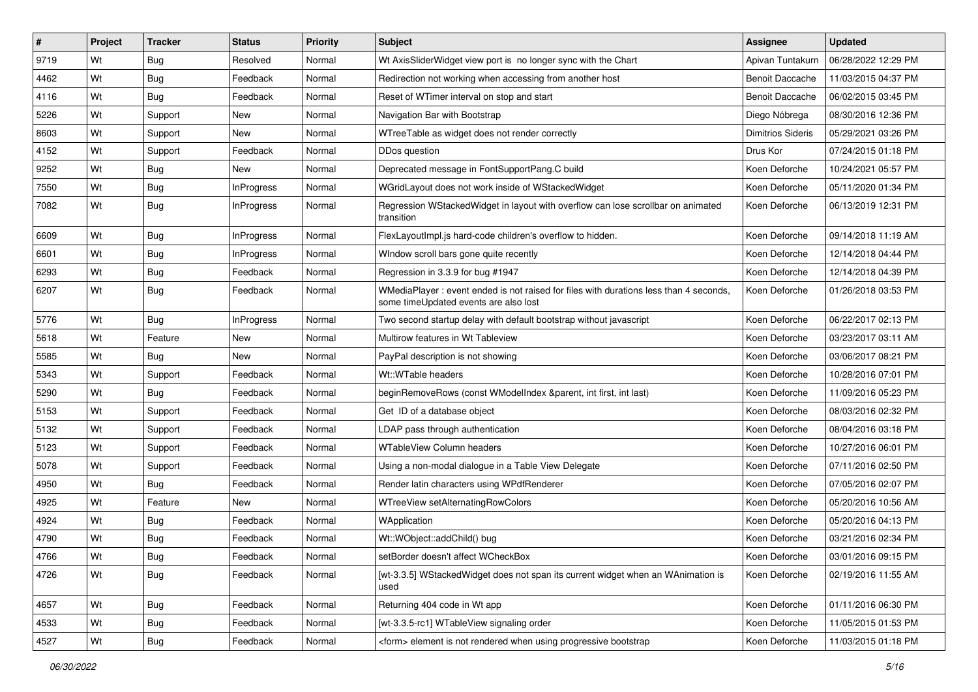| $\vert$ # | Project | <b>Tracker</b> | <b>Status</b>     | <b>Priority</b> | <b>Subject</b>                                                                                                                 | <b>Assignee</b>          | <b>Updated</b>      |
|-----------|---------|----------------|-------------------|-----------------|--------------------------------------------------------------------------------------------------------------------------------|--------------------------|---------------------|
| 9719      | Wt      | <b>Bug</b>     | Resolved          | Normal          | Wt AxisSliderWidget view port is no longer sync with the Chart                                                                 | Apivan Tuntakurn         | 06/28/2022 12:29 PM |
| 4462      | Wt      | Bug            | Feedback          | Normal          | Redirection not working when accessing from another host                                                                       | <b>Benoit Daccache</b>   | 11/03/2015 04:37 PM |
| 4116      | Wt      | Bug            | Feedback          | Normal          | Reset of WTimer interval on stop and start                                                                                     | <b>Benoit Daccache</b>   | 06/02/2015 03:45 PM |
| 5226      | Wt      | Support        | New               | Normal          | Navigation Bar with Bootstrap                                                                                                  | Diego Nóbrega            | 08/30/2016 12:36 PM |
| 8603      | Wt      | Support        | New               | Normal          | WTreeTable as widget does not render correctly                                                                                 | <b>Dimitrios Sideris</b> | 05/29/2021 03:26 PM |
| 4152      | Wt      | Support        | Feedback          | Normal          | DDos question                                                                                                                  | Drus Kor                 | 07/24/2015 01:18 PM |
| 9252      | Wt      | Bug            | New               | Normal          | Deprecated message in FontSupportPang.C build                                                                                  | Koen Deforche            | 10/24/2021 05:57 PM |
| 7550      | Wt      | Bug            | <b>InProgress</b> | Normal          | WGridLayout does not work inside of WStackedWidget                                                                             | Koen Deforche            | 05/11/2020 01:34 PM |
| 7082      | Wt      | Bug            | <b>InProgress</b> | Normal          | Regression WStackedWidget in layout with overflow can lose scrollbar on animated<br>transition                                 | Koen Deforche            | 06/13/2019 12:31 PM |
| 6609      | Wt      | Bug            | <b>InProgress</b> | Normal          | FlexLayoutImpl.js hard-code children's overflow to hidden.                                                                     | Koen Deforche            | 09/14/2018 11:19 AM |
| 6601      | Wt      | Bug            | <b>InProgress</b> | Normal          | Window scroll bars gone quite recently                                                                                         | Koen Deforche            | 12/14/2018 04:44 PM |
| 6293      | Wt      | Bug            | Feedback          | Normal          | Regression in 3.3.9 for bug #1947                                                                                              | Koen Deforche            | 12/14/2018 04:39 PM |
| 6207      | Wt      | Bug            | Feedback          | Normal          | WMediaPlayer: event ended is not raised for files with durations less than 4 seconds,<br>some timeUpdated events are also lost | Koen Deforche            | 01/26/2018 03:53 PM |
| 5776      | Wt      | Bug            | <b>InProgress</b> | Normal          | Two second startup delay with default bootstrap without javascript                                                             | Koen Deforche            | 06/22/2017 02:13 PM |
| 5618      | Wt      | Feature        | New               | Normal          | Multirow features in Wt Tableview                                                                                              | Koen Deforche            | 03/23/2017 03:11 AM |
| 5585      | Wt      | Bug            | New               | Normal          | PayPal description is not showing                                                                                              | Koen Deforche            | 03/06/2017 08:21 PM |
| 5343      | Wt      | Support        | Feedback          | Normal          | Wt::WTable headers                                                                                                             | Koen Deforche            | 10/28/2016 07:01 PM |
| 5290      | Wt      | Bug            | Feedback          | Normal          | beginRemoveRows (const WModelIndex &parent, int first, int last)                                                               | Koen Deforche            | 11/09/2016 05:23 PM |
| 5153      | Wt      | Support        | Feedback          | Normal          | Get ID of a database object                                                                                                    | Koen Deforche            | 08/03/2016 02:32 PM |
| 5132      | Wt      | Support        | Feedback          | Normal          | LDAP pass through authentication                                                                                               | Koen Deforche            | 08/04/2016 03:18 PM |
| 5123      | Wt      | Support        | Feedback          | Normal          | <b>WTableView Column headers</b>                                                                                               | Koen Deforche            | 10/27/2016 06:01 PM |
| 5078      | Wt      | Support        | Feedback          | Normal          | Using a non-modal dialogue in a Table View Delegate                                                                            | Koen Deforche            | 07/11/2016 02:50 PM |
| 4950      | Wt      | Bug            | Feedback          | Normal          | Render latin characters using WPdfRenderer                                                                                     | Koen Deforche            | 07/05/2016 02:07 PM |
| 4925      | Wt      | Feature        | New               | Normal          | WTreeView setAlternatingRowColors                                                                                              | Koen Deforche            | 05/20/2016 10:56 AM |
| 4924      | Wt      | Bug            | Feedback          | Normal          | WApplication                                                                                                                   | Koen Deforche            | 05/20/2016 04:13 PM |
| 4790      | Wt      | <b>Bug</b>     | Feedback          | Normal          | Wt::WObject::addChild() bug                                                                                                    | Koen Deforche            | 03/21/2016 02:34 PM |
| 4766      | Wt      | <b>Bug</b>     | Feedback          | Normal          | setBorder doesn't affect WCheckBox                                                                                             | Koen Deforche            | 03/01/2016 09:15 PM |
| 4726      | Wt      | Bug            | Feedback          | Normal          | [wt-3.3.5] WStackedWidget does not span its current widget when an WAnimation is<br>used                                       | Koen Deforche            | 02/19/2016 11:55 AM |
| 4657      | Wt      | <b>Bug</b>     | Feedback          | Normal          | Returning 404 code in Wt app                                                                                                   | Koen Deforche            | 01/11/2016 06:30 PM |
| 4533      | Wt      | <b>Bug</b>     | Feedback          | Normal          | [wt-3.3.5-rc1] WTableView signaling order                                                                                      | Koen Deforche            | 11/05/2015 01:53 PM |
| 4527      | Wt      | Bug            | Feedback          | Normal          | <form> element is not rendered when using progressive bootstrap</form>                                                         | Koen Deforche            | 11/03/2015 01:18 PM |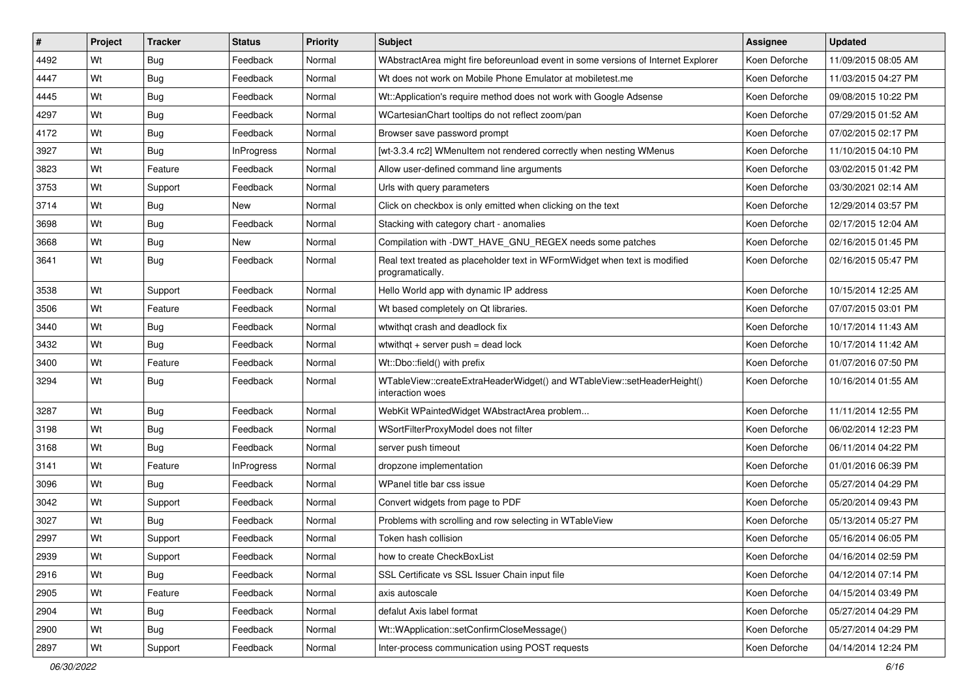| $\vert$ # | Project | <b>Tracker</b> | <b>Status</b>     | <b>Priority</b> | <b>Subject</b>                                                                                 | <b>Assignee</b> | <b>Updated</b>      |
|-----------|---------|----------------|-------------------|-----------------|------------------------------------------------------------------------------------------------|-----------------|---------------------|
| 4492      | Wt      | Bug            | Feedback          | Normal          | WAbstractArea might fire beforeunload event in some versions of Internet Explorer              | Koen Deforche   | 11/09/2015 08:05 AM |
| 4447      | Wt      | Bug            | Feedback          | Normal          | Wt does not work on Mobile Phone Emulator at mobiletest.me                                     | Koen Deforche   | 11/03/2015 04:27 PM |
| 4445      | Wt      | Bug            | Feedback          | Normal          | Wt::Application's require method does not work with Google Adsense                             | Koen Deforche   | 09/08/2015 10:22 PM |
| 4297      | Wt      | Bug            | Feedback          | Normal          | WCartesianChart tooltips do not reflect zoom/pan                                               | Koen Deforche   | 07/29/2015 01:52 AM |
| 4172      | Wt      | Bug            | Feedback          | Normal          | Browser save password prompt                                                                   | Koen Deforche   | 07/02/2015 02:17 PM |
| 3927      | Wt      | Bug            | <b>InProgress</b> | Normal          | [wt-3.3.4 rc2] WMenuItem not rendered correctly when nesting WMenus                            | Koen Deforche   | 11/10/2015 04:10 PM |
| 3823      | Wt      | Feature        | Feedback          | Normal          | Allow user-defined command line arguments                                                      | Koen Deforche   | 03/02/2015 01:42 PM |
| 3753      | Wt      | Support        | Feedback          | Normal          | Urls with query parameters                                                                     | Koen Deforche   | 03/30/2021 02:14 AM |
| 3714      | Wt      | Bug            | New               | Normal          | Click on checkbox is only emitted when clicking on the text                                    | Koen Deforche   | 12/29/2014 03:57 PM |
| 3698      | Wt      | <b>Bug</b>     | Feedback          | Normal          | Stacking with category chart - anomalies                                                       | Koen Deforche   | 02/17/2015 12:04 AM |
| 3668      | Wt      | Bug            | New               | Normal          | Compilation with -DWT_HAVE_GNU_REGEX needs some patches                                        | Koen Deforche   | 02/16/2015 01:45 PM |
| 3641      | Wt      | Bug            | Feedback          | Normal          | Real text treated as placeholder text in WFormWidget when text is modified<br>programatically. | Koen Deforche   | 02/16/2015 05:47 PM |
| 3538      | Wt      | Support        | Feedback          | Normal          | Hello World app with dynamic IP address                                                        | Koen Deforche   | 10/15/2014 12:25 AM |
| 3506      | Wt      | Feature        | Feedback          | Normal          | Wt based completely on Qt libraries.                                                           | Koen Deforche   | 07/07/2015 03:01 PM |
| 3440      | Wt      | Bug            | Feedback          | Normal          | wtwithgt crash and deadlock fix                                                                | Koen Deforche   | 10/17/2014 11:43 AM |
| 3432      | Wt      | Bug            | Feedback          | Normal          | wtwithat $+$ server push = dead lock                                                           | Koen Deforche   | 10/17/2014 11:42 AM |
| 3400      | Wt      | Feature        | Feedback          | Normal          | Wt::Dbo::field() with prefix                                                                   | Koen Deforche   | 01/07/2016 07:50 PM |
| 3294      | Wt      | Bug            | Feedback          | Normal          | WTableView::createExtraHeaderWidget() and WTableView::setHeaderHeight()<br>interaction woes    | Koen Deforche   | 10/16/2014 01:55 AM |
| 3287      | Wt      | Bug            | Feedback          | Normal          | WebKit WPaintedWidget WAbstractArea problem                                                    | Koen Deforche   | 11/11/2014 12:55 PM |
| 3198      | Wt      | Bug            | Feedback          | Normal          | WSortFilterProxyModel does not filter                                                          | Koen Deforche   | 06/02/2014 12:23 PM |
| 3168      | Wt      | Bug            | Feedback          | Normal          | server push timeout                                                                            | Koen Deforche   | 06/11/2014 04:22 PM |
| 3141      | Wt      | Feature        | InProgress        | Normal          | dropzone implementation                                                                        | Koen Deforche   | 01/01/2016 06:39 PM |
| 3096      | Wt      | Bug            | Feedback          | Normal          | WPanel title bar css issue                                                                     | Koen Deforche   | 05/27/2014 04:29 PM |
| 3042      | Wt      | Support        | Feedback          | Normal          | Convert widgets from page to PDF                                                               | Koen Deforche   | 05/20/2014 09:43 PM |
| 3027      | Wt      | Bug            | Feedback          | Normal          | Problems with scrolling and row selecting in WTableView                                        | Koen Deforche   | 05/13/2014 05:27 PM |
| 2997      | Wt      | Support        | Feedback          | Normal          | Token hash collision                                                                           | Koen Deforche   | 05/16/2014 06:05 PM |
| 2939      | Wt      | Support        | Feedback          | Normal          | how to create CheckBoxList                                                                     | Koen Deforche   | 04/16/2014 02:59 PM |
| 2916      | Wt      | <b>Bug</b>     | Feedback          | Normal          | SSL Certificate vs SSL Issuer Chain input file                                                 | Koen Deforche   | 04/12/2014 07:14 PM |
| 2905      | Wt      | Feature        | Feedback          | Normal          | axis autoscale                                                                                 | Koen Deforche   | 04/15/2014 03:49 PM |
| 2904      | Wt      | <b>Bug</b>     | Feedback          | Normal          | defalut Axis label format                                                                      | Koen Deforche   | 05/27/2014 04:29 PM |
| 2900      | Wt      | <b>Bug</b>     | Feedback          | Normal          | Wt::WApplication::setConfirmCloseMessage()                                                     | Koen Deforche   | 05/27/2014 04:29 PM |
| 2897      | Wt      | Support        | Feedback          | Normal          | Inter-process communication using POST requests                                                | Koen Deforche   | 04/14/2014 12:24 PM |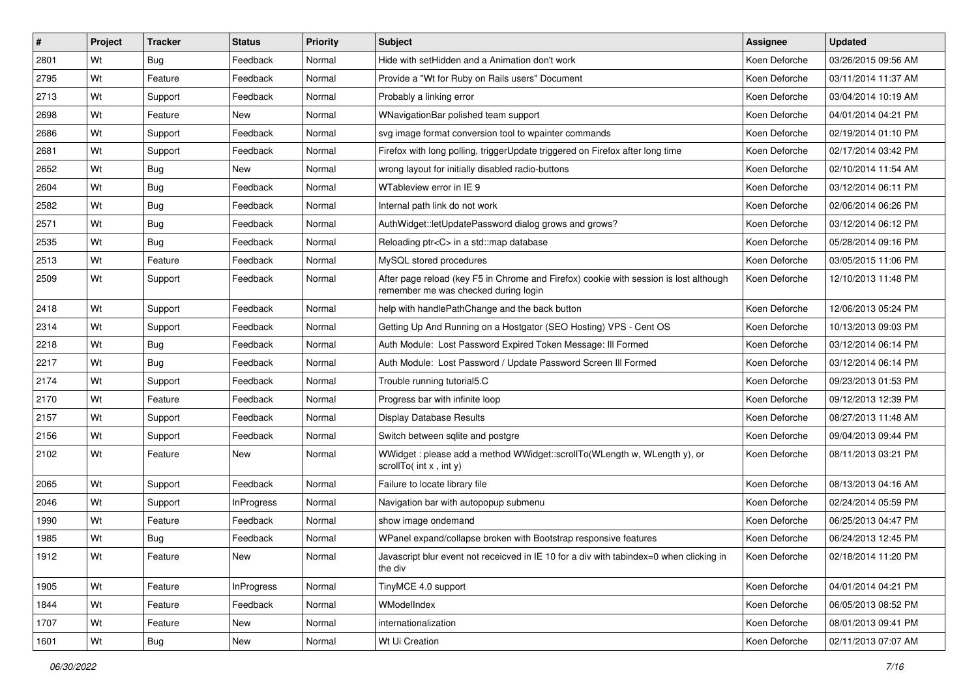| #    | Project | <b>Tracker</b> | <b>Status</b>     | <b>Priority</b> | <b>Subject</b>                                                                                                                | <b>Assignee</b> | <b>Updated</b>      |
|------|---------|----------------|-------------------|-----------------|-------------------------------------------------------------------------------------------------------------------------------|-----------------|---------------------|
| 2801 | Wt      | Bug            | Feedback          | Normal          | Hide with setHidden and a Animation don't work                                                                                | Koen Deforche   | 03/26/2015 09:56 AM |
| 2795 | Wt      | Feature        | Feedback          | Normal          | Provide a "Wt for Ruby on Rails users" Document                                                                               | Koen Deforche   | 03/11/2014 11:37 AM |
| 2713 | Wt      | Support        | Feedback          | Normal          | Probably a linking error                                                                                                      | Koen Deforche   | 03/04/2014 10:19 AM |
| 2698 | Wt      | Feature        | New               | Normal          | WNavigationBar polished team support                                                                                          | Koen Deforche   | 04/01/2014 04:21 PM |
| 2686 | Wt      | Support        | Feedback          | Normal          | svg image format conversion tool to wpainter commands                                                                         | Koen Deforche   | 02/19/2014 01:10 PM |
| 2681 | Wt      | Support        | Feedback          | Normal          | Firefox with long polling, triggerUpdate triggered on Firefox after long time                                                 | Koen Deforche   | 02/17/2014 03:42 PM |
| 2652 | Wt      | Bug            | New               | Normal          | wrong layout for initially disabled radio-buttons                                                                             | Koen Deforche   | 02/10/2014 11:54 AM |
| 2604 | Wt      | Bug            | Feedback          | Normal          | WTableview error in IE 9                                                                                                      | Koen Deforche   | 03/12/2014 06:11 PM |
| 2582 | Wt      | Bug            | Feedback          | Normal          | Internal path link do not work                                                                                                | Koen Deforche   | 02/06/2014 06:26 PM |
| 2571 | Wt      | Bug            | Feedback          | Normal          | AuthWidget::letUpdatePassword dialog grows and grows?                                                                         | Koen Deforche   | 03/12/2014 06:12 PM |
| 2535 | Wt      | Bug            | Feedback          | Normal          | Reloading ptr <c> in a std::map database</c>                                                                                  | Koen Deforche   | 05/28/2014 09:16 PM |
| 2513 | Wt      | Feature        | Feedback          | Normal          | MySQL stored procedures                                                                                                       | Koen Deforche   | 03/05/2015 11:06 PM |
| 2509 | Wt      | Support        | Feedback          | Normal          | After page reload (key F5 in Chrome and Firefox) cookie with session is lost although<br>remember me was checked during login | Koen Deforche   | 12/10/2013 11:48 PM |
| 2418 | Wt      | Support        | Feedback          | Normal          | help with handlePathChange and the back button                                                                                | Koen Deforche   | 12/06/2013 05:24 PM |
| 2314 | Wt      | Support        | Feedback          | Normal          | Getting Up And Running on a Hostgator (SEO Hosting) VPS - Cent OS                                                             | Koen Deforche   | 10/13/2013 09:03 PM |
| 2218 | Wt      | Bug            | Feedback          | Normal          | Auth Module: Lost Password Expired Token Message: Ill Formed                                                                  | Koen Deforche   | 03/12/2014 06:14 PM |
| 2217 | Wt      | Bug            | Feedback          | Normal          | Auth Module: Lost Password / Update Password Screen III Formed                                                                | Koen Deforche   | 03/12/2014 06:14 PM |
| 2174 | Wt      | Support        | Feedback          | Normal          | Trouble running tutorial5.C                                                                                                   | Koen Deforche   | 09/23/2013 01:53 PM |
| 2170 | Wt      | Feature        | Feedback          | Normal          | Progress bar with infinite loop                                                                                               | Koen Deforche   | 09/12/2013 12:39 PM |
| 2157 | Wt      | Support        | Feedback          | Normal          | Display Database Results                                                                                                      | Koen Deforche   | 08/27/2013 11:48 AM |
| 2156 | Wt      | Support        | Feedback          | Normal          | Switch between sqlite and postgre                                                                                             | Koen Deforche   | 09/04/2013 09:44 PM |
| 2102 | Wt      | Feature        | New               | Normal          | WWidget: please add a method WWidget::scrollTo(WLength w, WLength y), or<br>scrollTo( $int x$ , $int y$ )                     | Koen Deforche   | 08/11/2013 03:21 PM |
| 2065 | Wt      | Support        | Feedback          | Normal          | Failure to locate library file                                                                                                | Koen Deforche   | 08/13/2013 04:16 AM |
| 2046 | Wt      | Support        | <b>InProgress</b> | Normal          | Navigation bar with autopopup submenu                                                                                         | Koen Deforche   | 02/24/2014 05:59 PM |
| 1990 | Wt      | Feature        | Feedback          | Normal          | show image ondemand                                                                                                           | Koen Deforche   | 06/25/2013 04:47 PM |
| 1985 | Wt      | Bug            | Feedback          | Normal          | WPanel expand/collapse broken with Bootstrap responsive features                                                              | Koen Deforche   | 06/24/2013 12:45 PM |
| 1912 | Wt      | Feature        | New               | Normal          | Javascript blur event not receicved in IE 10 for a div with tabindex=0 when clicking in<br>the div                            | Koen Deforche   | 02/18/2014 11:20 PM |
| 1905 | Wt      | Feature        | <b>InProgress</b> | Normal          | TinyMCE 4.0 support                                                                                                           | Koen Deforche   | 04/01/2014 04:21 PM |
| 1844 | Wt      | Feature        | Feedback          | Normal          | WModelIndex                                                                                                                   | Koen Deforche   | 06/05/2013 08:52 PM |
| 1707 | Wt      | Feature        | New               | Normal          | internationalization                                                                                                          | Koen Deforche   | 08/01/2013 09:41 PM |
| 1601 | Wt      | Bug            | New               | Normal          | Wt Ui Creation                                                                                                                | Koen Deforche   | 02/11/2013 07:07 AM |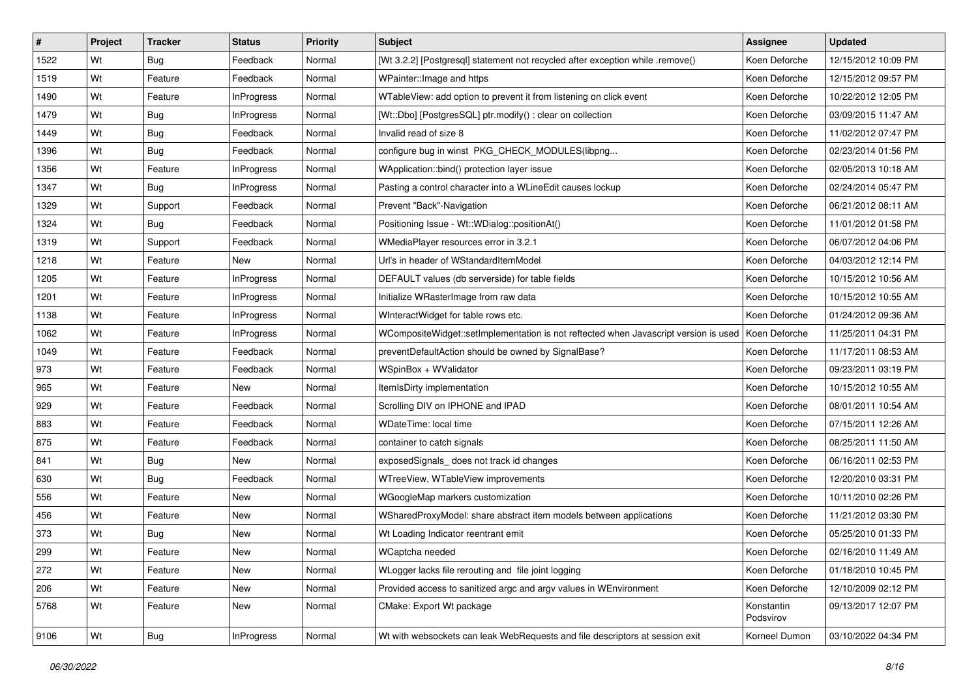| $\vert$ # | Project | <b>Tracker</b> | <b>Status</b>     | <b>Priority</b> | <b>Subject</b>                                                                       | <b>Assignee</b>         | <b>Updated</b>      |
|-----------|---------|----------------|-------------------|-----------------|--------------------------------------------------------------------------------------|-------------------------|---------------------|
| 1522      | Wt      | Bug            | Feedback          | Normal          | [Wt 3.2.2] [Postgresql] statement not recycled after exception while .remove()       | Koen Deforche           | 12/15/2012 10:09 PM |
| 1519      | Wt      | Feature        | Feedback          | Normal          | WPainter:: Image and https                                                           | Koen Deforche           | 12/15/2012 09:57 PM |
| 1490      | Wt      | Feature        | InProgress        | Normal          | WTableView: add option to prevent it from listening on click event                   | Koen Deforche           | 10/22/2012 12:05 PM |
| 1479      | Wt      | <b>Bug</b>     | <b>InProgress</b> | Normal          | [Wt::Dbo] [PostgresSQL] ptr.modify() : clear on collection                           | Koen Deforche           | 03/09/2015 11:47 AM |
| 1449      | Wt      | Bug            | Feedback          | Normal          | Invalid read of size 8                                                               | Koen Deforche           | 11/02/2012 07:47 PM |
| 1396      | Wt      | Bug            | Feedback          | Normal          | configure bug in winst PKG_CHECK_MODULES(libpng                                      | Koen Deforche           | 02/23/2014 01:56 PM |
| 1356      | Wt      | Feature        | <b>InProgress</b> | Normal          | WApplication::bind() protection layer issue                                          | Koen Deforche           | 02/05/2013 10:18 AM |
| 1347      | Wt      | Bug            | <b>InProgress</b> | Normal          | Pasting a control character into a WLineEdit causes lockup                           | Koen Deforche           | 02/24/2014 05:47 PM |
| 1329      | Wt      | Support        | Feedback          | Normal          | Prevent "Back"-Navigation                                                            | Koen Deforche           | 06/21/2012 08:11 AM |
| 1324      | Wt      | Bug            | Feedback          | Normal          | Positioning Issue - Wt::WDialog::positionAt()                                        | Koen Deforche           | 11/01/2012 01:58 PM |
| 1319      | Wt      | Support        | Feedback          | Normal          | WMediaPlayer resources error in 3.2.1                                                | Koen Deforche           | 06/07/2012 04:06 PM |
| 1218      | Wt      | Feature        | New               | Normal          | Url's in header of WStandardItemModel                                                | Koen Deforche           | 04/03/2012 12:14 PM |
| 1205      | Wt      | Feature        | <b>InProgress</b> | Normal          | DEFAULT values (db serverside) for table fields                                      | Koen Deforche           | 10/15/2012 10:56 AM |
| 1201      | Wt      | Feature        | <b>InProgress</b> | Normal          | Initialize WRasterImage from raw data                                                | Koen Deforche           | 10/15/2012 10:55 AM |
| 1138      | Wt      | Feature        | <b>InProgress</b> | Normal          | WInteractWidget for table rows etc.                                                  | Koen Deforche           | 01/24/2012 09:36 AM |
| 1062      | Wt      | Feature        | InProgress        | Normal          | WCompositeWidget::setImplementation is not reftected when Javascript version is used | Koen Deforche           | 11/25/2011 04:31 PM |
| 1049      | Wt      | Feature        | Feedback          | Normal          | preventDefaultAction should be owned by SignalBase?                                  | Koen Deforche           | 11/17/2011 08:53 AM |
| 973       | Wt      | Feature        | Feedback          | Normal          | WSpinBox + WValidator                                                                | Koen Deforche           | 09/23/2011 03:19 PM |
| 965       | Wt      | Feature        | New               | Normal          | ItemIsDirty implementation                                                           | Koen Deforche           | 10/15/2012 10:55 AM |
| 929       | Wt      | Feature        | Feedback          | Normal          | Scrolling DIV on IPHONE and IPAD                                                     | Koen Deforche           | 08/01/2011 10:54 AM |
| 883       | Wt      | Feature        | Feedback          | Normal          | <b>WDateTime: local time</b>                                                         | Koen Deforche           | 07/15/2011 12:26 AM |
| 875       | Wt      | Feature        | Feedback          | Normal          | container to catch signals                                                           | Koen Deforche           | 08/25/2011 11:50 AM |
| 841       | Wt      | Bug            | New               | Normal          | exposedSignals_ does not track id changes                                            | Koen Deforche           | 06/16/2011 02:53 PM |
| 630       | Wt      | <b>Bug</b>     | Feedback          | Normal          | WTreeView, WTableView improvements                                                   | Koen Deforche           | 12/20/2010 03:31 PM |
| 556       | Wt      | Feature        | New               | Normal          | WGoogleMap markers customization                                                     | Koen Deforche           | 10/11/2010 02:26 PM |
| 456       | Wt      | Feature        | New               | Normal          | WSharedProxyModel: share abstract item models between applications                   | Koen Deforche           | 11/21/2012 03:30 PM |
| 373       | Wt      | Bug            | New               | Normal          | Wt Loading Indicator reentrant emit                                                  | Koen Deforche           | 05/25/2010 01:33 PM |
| 299       | Wt      | Feature        | New               | Normal          | WCaptcha needed                                                                      | Koen Deforche           | 02/16/2010 11:49 AM |
| 272       | Wt      | Feature        | New               | Normal          | WLogger lacks file rerouting and file joint logging                                  | Koen Deforche           | 01/18/2010 10:45 PM |
| 206       | Wt      | Feature        | New               | Normal          | Provided access to sanitized argc and argv values in WEnvironment                    | Koen Deforche           | 12/10/2009 02:12 PM |
| 5768      | Wt      | Feature        | New               | Normal          | CMake: Export Wt package                                                             | Konstantin<br>Podsvirov | 09/13/2017 12:07 PM |
| 9106      | Wt      | Bug            | <b>InProgress</b> | Normal          | Wt with websockets can leak WebRequests and file descriptors at session exit         | Korneel Dumon           | 03/10/2022 04:34 PM |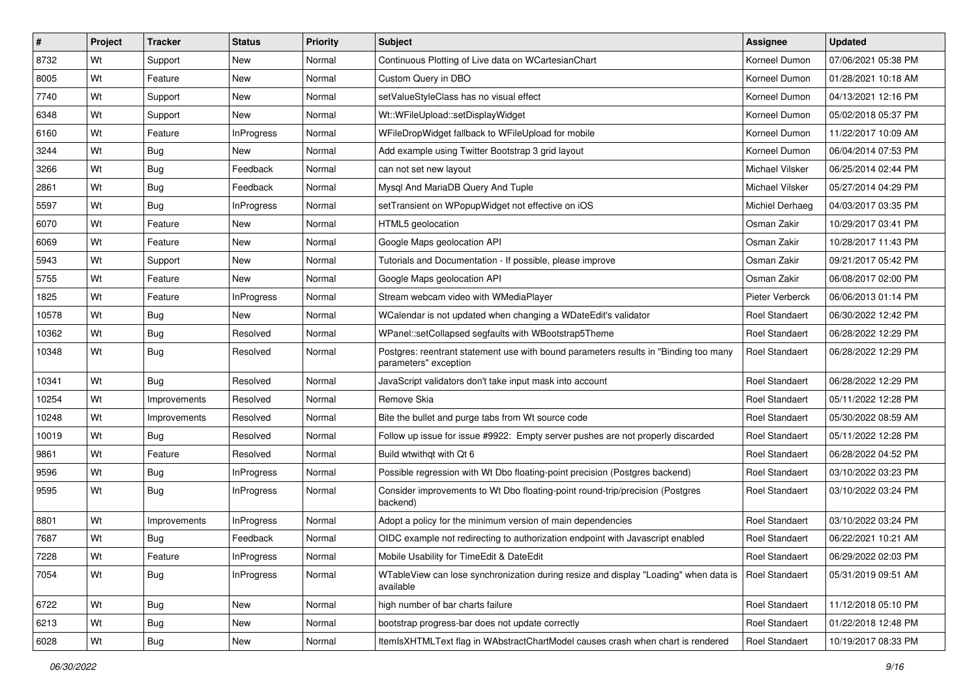| ∦     | Project | <b>Tracker</b> | <b>Status</b>     | <b>Priority</b> | Subject                                                                                                       | <b>Assignee</b>       | <b>Updated</b>      |
|-------|---------|----------------|-------------------|-----------------|---------------------------------------------------------------------------------------------------------------|-----------------------|---------------------|
| 8732  | Wt      | Support        | New               | Normal          | Continuous Plotting of Live data on WCartesianChart                                                           | Korneel Dumon         | 07/06/2021 05:38 PM |
| 8005  | Wt      | Feature        | New               | Normal          | Custom Query in DBO                                                                                           | Korneel Dumon         | 01/28/2021 10:18 AM |
| 7740  | Wt      | Support        | New               | Normal          | setValueStyleClass has no visual effect                                                                       | Korneel Dumon         | 04/13/2021 12:16 PM |
| 6348  | Wt      | Support        | New               | Normal          | Wt::WFileUpload::setDisplayWidget                                                                             | Korneel Dumon         | 05/02/2018 05:37 PM |
| 6160  | Wt      | Feature        | <b>InProgress</b> | Normal          | WFileDropWidget fallback to WFileUpload for mobile                                                            | Korneel Dumon         | 11/22/2017 10:09 AM |
| 3244  | Wt      | <b>Bug</b>     | New               | Normal          | Add example using Twitter Bootstrap 3 grid layout                                                             | Korneel Dumon         | 06/04/2014 07:53 PM |
| 3266  | Wt      | Bug            | Feedback          | Normal          | can not set new layout                                                                                        | Michael Vilsker       | 06/25/2014 02:44 PM |
| 2861  | Wt      | Bug            | Feedback          | Normal          | Mysql And MariaDB Query And Tuple                                                                             | Michael Vilsker       | 05/27/2014 04:29 PM |
| 5597  | Wt      | Bug            | <b>InProgress</b> | Normal          | setTransient on WPopupWidget not effective on iOS                                                             | Michiel Derhaeg       | 04/03/2017 03:35 PM |
| 6070  | Wt      | Feature        | <b>New</b>        | Normal          | HTML5 geolocation                                                                                             | Osman Zakir           | 10/29/2017 03:41 PM |
| 6069  | Wt      | Feature        | New               | Normal          | Google Maps geolocation API                                                                                   | Osman Zakir           | 10/28/2017 11:43 PM |
| 5943  | Wt      | Support        | New               | Normal          | Tutorials and Documentation - If possible, please improve                                                     | Osman Zakir           | 09/21/2017 05:42 PM |
| 5755  | Wt      | Feature        | New               | Normal          | Google Maps geolocation API                                                                                   | Osman Zakir           | 06/08/2017 02:00 PM |
| 1825  | Wt      | Feature        | InProgress        | Normal          | Stream webcam video with WMediaPlayer                                                                         | Pieter Verberck       | 06/06/2013 01:14 PM |
| 10578 | Wt      | <b>Bug</b>     | New               | Normal          | WCalendar is not updated when changing a WDateEdit's validator                                                | <b>Roel Standaert</b> | 06/30/2022 12:42 PM |
| 10362 | Wt      | <b>Bug</b>     | Resolved          | Normal          | WPanel::setCollapsed segfaults with WBootstrap5Theme                                                          | Roel Standaert        | 06/28/2022 12:29 PM |
| 10348 | Wt      | Bug            | Resolved          | Normal          | Postgres: reentrant statement use with bound parameters results in "Binding too many<br>parameters" exception | Roel Standaert        | 06/28/2022 12:29 PM |
| 10341 | Wt      | Bug            | Resolved          | Normal          | JavaScript validators don't take input mask into account                                                      | Roel Standaert        | 06/28/2022 12:29 PM |
| 10254 | Wt      | Improvements   | Resolved          | Normal          | Remove Skia                                                                                                   | Roel Standaert        | 05/11/2022 12:28 PM |
| 10248 | Wt      | Improvements   | Resolved          | Normal          | Bite the bullet and purge tabs from Wt source code                                                            | Roel Standaert        | 05/30/2022 08:59 AM |
| 10019 | Wt      | Bug            | Resolved          | Normal          | Follow up issue for issue #9922: Empty server pushes are not properly discarded                               | Roel Standaert        | 05/11/2022 12:28 PM |
| 9861  | Wt      | Feature        | Resolved          | Normal          | Build wtwithqt with Qt 6                                                                                      | Roel Standaert        | 06/28/2022 04:52 PM |
| 9596  | Wt      | <b>Bug</b>     | InProgress        | Normal          | Possible regression with Wt Dbo floating-point precision (Postgres backend)                                   | Roel Standaert        | 03/10/2022 03:23 PM |
| 9595  | Wt      | Bug            | <b>InProgress</b> | Normal          | Consider improvements to Wt Dbo floating-point round-trip/precision (Postgres<br>backend)                     | Roel Standaert        | 03/10/2022 03:24 PM |
| 8801  | Wt      | Improvements   | InProgress        | Normal          | Adopt a policy for the minimum version of main dependencies                                                   | Roel Standaert        | 03/10/2022 03:24 PM |
| 7687  | Wt      | Bug            | Feedback          | Normal          | OIDC example not redirecting to authorization endpoint with Javascript enabled                                | <b>Roel Standaert</b> | 06/22/2021 10:21 AM |
| 7228  | Wt      | Feature        | <b>InProgress</b> | Normal          | Mobile Usability for TimeEdit & DateEdit                                                                      | Roel Standaert        | 06/29/2022 02:03 PM |
| 7054  | Wt      | <b>Bug</b>     | InProgress        | Normal          | WTableView can lose synchronization during resize and display "Loading" when data is<br>available             | <b>Roel Standaert</b> | 05/31/2019 09:51 AM |
| 6722  | Wt      | <b>Bug</b>     | New               | Normal          | high number of bar charts failure                                                                             | Roel Standaert        | 11/12/2018 05:10 PM |
| 6213  | Wt      | <b>Bug</b>     | New               | Normal          | bootstrap progress-bar does not update correctly                                                              | Roel Standaert        | 01/22/2018 12:48 PM |
| 6028  | Wt      | Bug            | New               | Normal          | ItemIsXHTMLText flag in WAbstractChartModel causes crash when chart is rendered                               | Roel Standaert        | 10/19/2017 08:33 PM |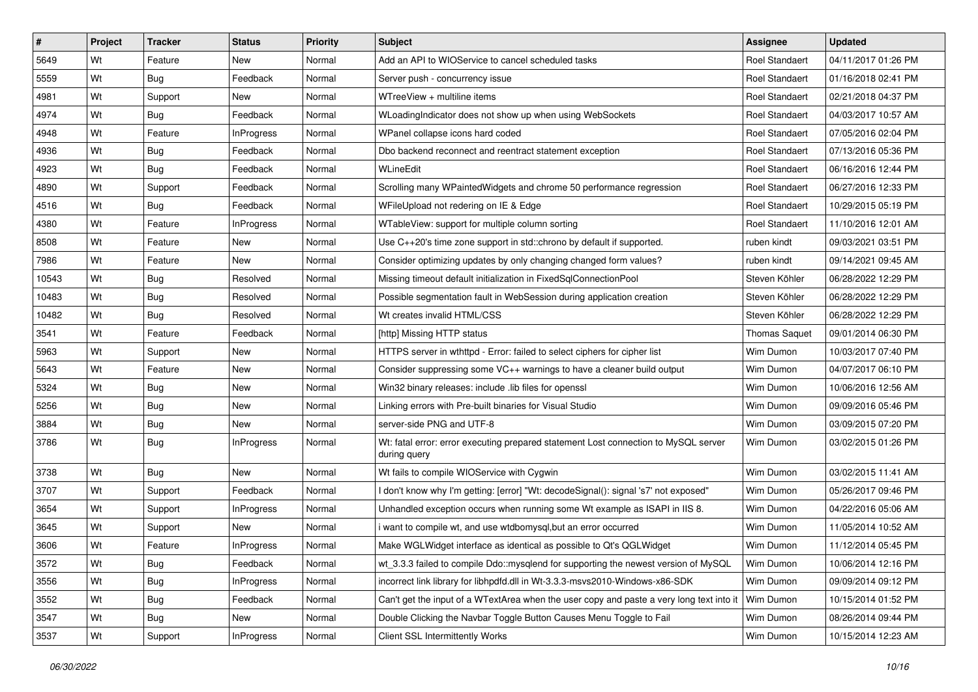| #     | Project | <b>Tracker</b> | <b>Status</b>     | <b>Priority</b> | Subject                                                                                             | <b>Assignee</b>      | <b>Updated</b>      |
|-------|---------|----------------|-------------------|-----------------|-----------------------------------------------------------------------------------------------------|----------------------|---------------------|
| 5649  | Wt      | Feature        | New               | Normal          | Add an API to WIOService to cancel scheduled tasks                                                  | Roel Standaert       | 04/11/2017 01:26 PM |
| 5559  | Wt      | <b>Bug</b>     | Feedback          | Normal          | Server push - concurrency issue                                                                     | Roel Standaert       | 01/16/2018 02:41 PM |
| 4981  | Wt      | Support        | New               | Normal          | WTreeView + multiline items                                                                         | Roel Standaert       | 02/21/2018 04:37 PM |
| 4974  | Wt      | Bug            | Feedback          | Normal          | WLoadingIndicator does not show up when using WebSockets                                            | Roel Standaert       | 04/03/2017 10:57 AM |
| 4948  | Wt      | Feature        | <b>InProgress</b> | Normal          | WPanel collapse icons hard coded                                                                    | Roel Standaert       | 07/05/2016 02:04 PM |
| 4936  | Wt      | <b>Bug</b>     | Feedback          | Normal          | Dbo backend reconnect and reentract statement exception                                             | Roel Standaert       | 07/13/2016 05:36 PM |
| 4923  | Wt      | <b>Bug</b>     | Feedback          | Normal          | WLineEdit                                                                                           | Roel Standaert       | 06/16/2016 12:44 PM |
| 4890  | Wt      | Support        | Feedback          | Normal          | Scrolling many WPaintedWidgets and chrome 50 performance regression                                 | Roel Standaert       | 06/27/2016 12:33 PM |
| 4516  | Wt      | Bug            | Feedback          | Normal          | WFileUpload not redering on IE & Edge                                                               | Roel Standaert       | 10/29/2015 05:19 PM |
| 4380  | Wt      | Feature        | <b>InProgress</b> | Normal          | WTableView: support for multiple column sorting                                                     | Roel Standaert       | 11/10/2016 12:01 AM |
| 8508  | Wt      | Feature        | New               | Normal          | Use $C_{++20}$ 's time zone support in std:: chrono by default if supported.                        | ruben kindt          | 09/03/2021 03:51 PM |
| 7986  | Wt      | Feature        | New               | Normal          | Consider optimizing updates by only changing changed form values?                                   | ruben kindt          | 09/14/2021 09:45 AM |
| 10543 | Wt      | Bug            | Resolved          | Normal          | Missing timeout default initialization in FixedSqlConnectionPool                                    | Steven Köhler        | 06/28/2022 12:29 PM |
| 10483 | Wt      | Bug            | Resolved          | Normal          | Possible segmentation fault in WebSession during application creation                               | Steven Köhler        | 06/28/2022 12:29 PM |
| 10482 | Wt      | <b>Bug</b>     | Resolved          | Normal          | Wt creates invalid HTML/CSS                                                                         | Steven Köhler        | 06/28/2022 12:29 PM |
| 3541  | Wt      | Feature        | Feedback          | Normal          | [http] Missing HTTP status                                                                          | <b>Thomas Saquet</b> | 09/01/2014 06:30 PM |
| 5963  | Wt      | Support        | New               | Normal          | HTTPS server in wthttpd - Error: failed to select ciphers for cipher list                           | Wim Dumon            | 10/03/2017 07:40 PM |
| 5643  | Wt      | Feature        | New               | Normal          | Consider suppressing some VC++ warnings to have a cleaner build output                              | Wim Dumon            | 04/07/2017 06:10 PM |
| 5324  | Wt      | <b>Bug</b>     | New               | Normal          | Win32 binary releases: include .lib files for openssl                                               | Wim Dumon            | 10/06/2016 12:56 AM |
| 5256  | Wt      | Bug            | New               | Normal          | Linking errors with Pre-built binaries for Visual Studio                                            | Wim Dumon            | 09/09/2016 05:46 PM |
| 3884  | Wt      | <b>Bug</b>     | <b>New</b>        | Normal          | server-side PNG and UTF-8                                                                           | Wim Dumon            | 03/09/2015 07:20 PM |
| 3786  | Wt      | Bug            | <b>InProgress</b> | Normal          | Wt: fatal error: error executing prepared statement Lost connection to MySQL server<br>during query | Wim Dumon            |                     |
| 3738  | Wt      | Bug            | New               | Normal          | Wt fails to compile WIOService with Cygwin                                                          | Wim Dumon            | 03/02/2015 11:41 AM |
| 3707  | Wt      | Support        | Feedback          | Normal          | I don't know why I'm getting: [error] "Wt: decodeSignal(): signal 's7' not exposed"                 | Wim Dumon            | 05/26/2017 09:46 PM |
| 3654  | Wt      | Support        | <b>InProgress</b> | Normal          | Unhandled exception occurs when running some Wt example as ISAPI in IIS 8.                          | Wim Dumon            | 04/22/2016 05:06 AM |
| 3645  | Wt      | Support        | New               | Normal          | i want to compile wt, and use wtdbomysql,but an error occurred                                      | Wim Dumon            | 11/05/2014 10:52 AM |
| 3606  | Wt      | Feature        | InProgress        | Normal          | Make WGLWidget interface as identical as possible to Qt's QGLWidget                                 | Wim Dumon            | 11/12/2014 05:45 PM |
| 3572  | Wt      | <b>Bug</b>     | Feedback          | Normal          | wt_3.3.3 failed to compile Ddo::mysqlend for supporting the newest version of MySQL                 | Wim Dumon            | 10/06/2014 12:16 PM |
| 3556  | Wt      | Bug            | <b>InProgress</b> | Normal          | incorrect link library for libhpdfd.dll in Wt-3.3.3-msvs2010-Windows-x86-SDK                        | Wim Dumon            | 09/09/2014 09:12 PM |
| 3552  | Wt      | <b>Bug</b>     | Feedback          | Normal          | Can't get the input of a WTextArea when the user copy and paste a very long text into it            | Wim Dumon            | 10/15/2014 01:52 PM |
| 3547  | Wt      | Bug            | New               | Normal          | Double Clicking the Navbar Toggle Button Causes Menu Toggle to Fail                                 | Wim Dumon            | 08/26/2014 09:44 PM |
| 3537  | Wt      | Support        | <b>InProgress</b> | Normal          | <b>Client SSL Intermittently Works</b>                                                              | Wim Dumon            | 10/15/2014 12:23 AM |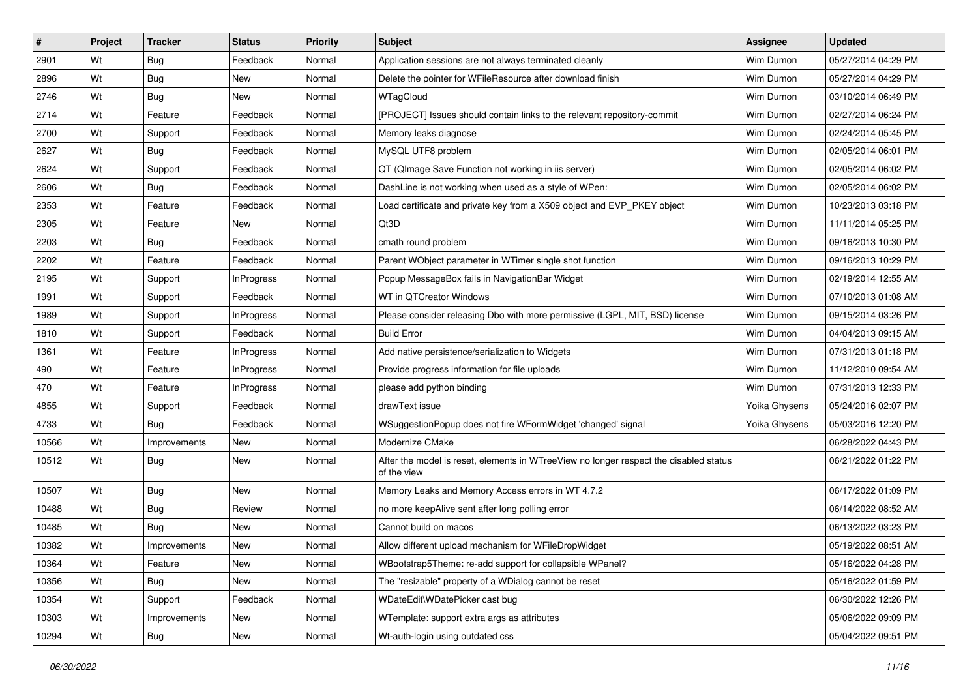| $\vert$ # | Project | <b>Tracker</b> | <b>Status</b>     | <b>Priority</b> | <b>Subject</b>                                                                                       | <b>Assignee</b> | <b>Updated</b>      |
|-----------|---------|----------------|-------------------|-----------------|------------------------------------------------------------------------------------------------------|-----------------|---------------------|
| 2901      | Wt      | Bug            | Feedback          | Normal          | Application sessions are not always terminated cleanly                                               | Wim Dumon       | 05/27/2014 04:29 PM |
| 2896      | Wt      | Bug            | New               | Normal          | Delete the pointer for WFileResource after download finish                                           | Wim Dumon       | 05/27/2014 04:29 PM |
| 2746      | Wt      | Bug            | New               | Normal          | WTagCloud                                                                                            | Wim Dumon       | 03/10/2014 06:49 PM |
| 2714      | Wt      | Feature        | Feedback          | Normal          | [PROJECT] Issues should contain links to the relevant repository-commit                              | Wim Dumon       | 02/27/2014 06:24 PM |
| 2700      | Wt      | Support        | Feedback          | Normal          | Memory leaks diagnose                                                                                | Wim Dumon       | 02/24/2014 05:45 PM |
| 2627      | Wt      | Bug            | Feedback          | Normal          | MySQL UTF8 problem                                                                                   | Wim Dumon       | 02/05/2014 06:01 PM |
| 2624      | Wt      | Support        | Feedback          | Normal          | QT (QImage Save Function not working in iis server)                                                  | Wim Dumon       | 02/05/2014 06:02 PM |
| 2606      | Wt      | Bug            | Feedback          | Normal          | DashLine is not working when used as a style of WPen:                                                | Wim Dumon       | 02/05/2014 06:02 PM |
| 2353      | Wt      | Feature        | Feedback          | Normal          | Load certificate and private key from a X509 object and EVP_PKEY object                              | Wim Dumon       | 10/23/2013 03:18 PM |
| 2305      | Wt      | Feature        | New               | Normal          | Qt3D                                                                                                 | Wim Dumon       | 11/11/2014 05:25 PM |
| 2203      | Wt      | <b>Bug</b>     | Feedback          | Normal          | cmath round problem                                                                                  | Wim Dumon       | 09/16/2013 10:30 PM |
| 2202      | Wt      | Feature        | Feedback          | Normal          | Parent WObject parameter in WTimer single shot function                                              | Wim Dumon       | 09/16/2013 10:29 PM |
| 2195      | Wt      | Support        | <b>InProgress</b> | Normal          | Popup MessageBox fails in NavigationBar Widget                                                       | Wim Dumon       | 02/19/2014 12:55 AM |
| 1991      | Wt      | Support        | Feedback          | Normal          | WT in QTCreator Windows                                                                              | Wim Dumon       | 07/10/2013 01:08 AM |
| 1989      | Wt      | Support        | <b>InProgress</b> | Normal          | Please consider releasing Dbo with more permissive (LGPL, MIT, BSD) license                          | Wim Dumon       | 09/15/2014 03:26 PM |
| 1810      | Wt      | Support        | Feedback          | Normal          | <b>Build Error</b>                                                                                   | Wim Dumon       | 04/04/2013 09:15 AM |
| 1361      | Wt      | Feature        | <b>InProgress</b> | Normal          | Add native persistence/serialization to Widgets                                                      | Wim Dumon       | 07/31/2013 01:18 PM |
| 490       | Wt      | Feature        | <b>InProgress</b> | Normal          | Provide progress information for file uploads                                                        | Wim Dumon       | 11/12/2010 09:54 AM |
| 470       | Wt      | Feature        | <b>InProgress</b> | Normal          | please add python binding                                                                            | Wim Dumon       | 07/31/2013 12:33 PM |
| 4855      | Wt      | Support        | Feedback          | Normal          | drawText issue                                                                                       | Yoika Ghysens   | 05/24/2016 02:07 PM |
| 4733      | Wt      | Bug            | Feedback          | Normal          | WSuggestionPopup does not fire WFormWidget 'changed' signal                                          | Yoika Ghysens   | 05/03/2016 12:20 PM |
| 10566     | Wt      | Improvements   | New               | Normal          | Modernize CMake                                                                                      |                 | 06/28/2022 04:43 PM |
| 10512     | Wt      | Bug            | New               | Normal          | After the model is reset, elements in WTreeView no longer respect the disabled status<br>of the view |                 | 06/21/2022 01:22 PM |
| 10507     | Wt      | Bug            | New               | Normal          | Memory Leaks and Memory Access errors in WT 4.7.2                                                    |                 | 06/17/2022 01:09 PM |
| 10488     | Wt      | Bug            | Review            | Normal          | no more keepAlive sent after long polling error                                                      |                 | 06/14/2022 08:52 AM |
| 10485     | Wt      | Bug            | New               | Normal          | Cannot build on macos                                                                                |                 | 06/13/2022 03:23 PM |
| 10382     | Wt      | Improvements   | New               | Normal          | Allow different upload mechanism for WFileDropWidget                                                 |                 | 05/19/2022 08:51 AM |
| 10364     | Wt      | Feature        | <b>New</b>        | Normal          | WBootstrap5Theme: re-add support for collapsible WPanel?                                             |                 | 05/16/2022 04:28 PM |
| 10356     | Wt      | <b>Bug</b>     | New               | Normal          | The "resizable" property of a WDialog cannot be reset                                                |                 | 05/16/2022 01:59 PM |
| 10354     | Wt      | Support        | Feedback          | Normal          | WDateEdit\WDatePicker cast bug                                                                       |                 | 06/30/2022 12:26 PM |
| 10303     | Wt      | Improvements   | New               | Normal          | WTemplate: support extra args as attributes                                                          |                 | 05/06/2022 09:09 PM |
| 10294     | Wt      | <b>Bug</b>     | New               | Normal          | Wt-auth-login using outdated css                                                                     |                 | 05/04/2022 09:51 PM |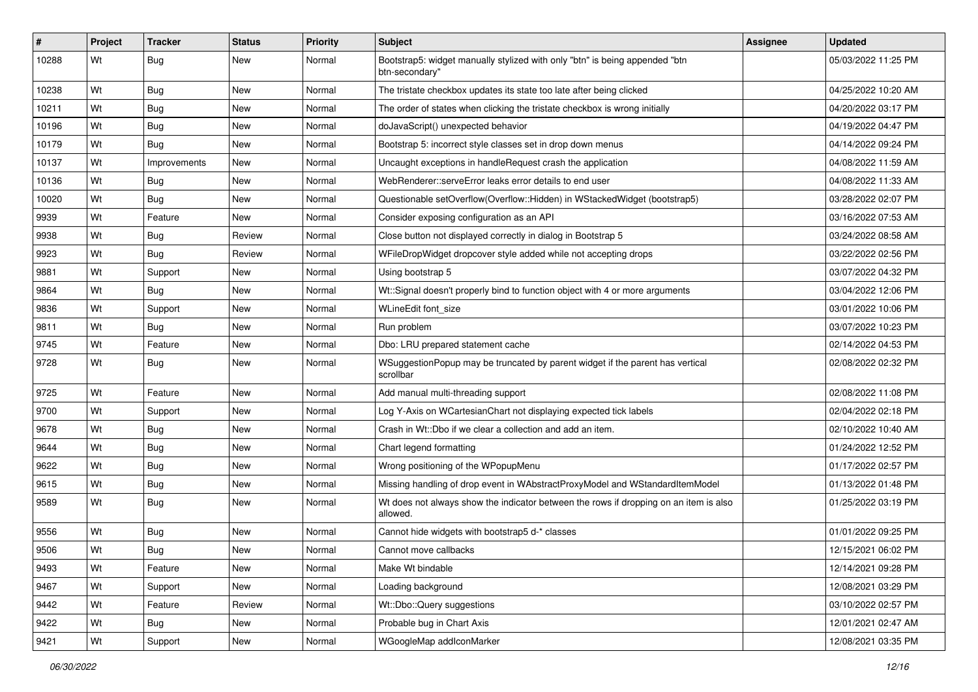| ∦     | Project | <b>Tracker</b> | <b>Status</b> | <b>Priority</b> | <b>Subject</b>                                                                                    | <b>Assignee</b> | <b>Updated</b>      |
|-------|---------|----------------|---------------|-----------------|---------------------------------------------------------------------------------------------------|-----------------|---------------------|
| 10288 | Wt      | Bug            | New           | Normal          | Bootstrap5: widget manually stylized with only "btn" is being appended "btn<br>btn-secondary"     |                 | 05/03/2022 11:25 PM |
| 10238 | Wt      | <b>Bug</b>     | New           | Normal          | The tristate checkbox updates its state too late after being clicked                              |                 | 04/25/2022 10:20 AM |
| 10211 | Wt      | <b>Bug</b>     | New           | Normal          | The order of states when clicking the tristate checkbox is wrong initially                        |                 | 04/20/2022 03:17 PM |
| 10196 | Wt      | Bug            | New           | Normal          | doJavaScript() unexpected behavior                                                                |                 | 04/19/2022 04:47 PM |
| 10179 | Wt      | Bug            | New           | Normal          | Bootstrap 5: incorrect style classes set in drop down menus                                       |                 | 04/14/2022 09:24 PM |
| 10137 | Wt      | Improvements   | New           | Normal          | Uncaught exceptions in handleRequest crash the application                                        |                 | 04/08/2022 11:59 AM |
| 10136 | Wt      | Bug            | New           | Normal          | WebRenderer::serveError leaks error details to end user                                           |                 | 04/08/2022 11:33 AM |
| 10020 | Wt      | Bug            | New           | Normal          | Questionable setOverflow(Overflow::Hidden) in WStackedWidget (bootstrap5)                         |                 | 03/28/2022 02:07 PM |
| 9939  | Wt      | Feature        | New           | Normal          | Consider exposing configuration as an API                                                         |                 | 03/16/2022 07:53 AM |
| 9938  | Wt      | <b>Bug</b>     | Review        | Normal          | Close button not displayed correctly in dialog in Bootstrap 5                                     |                 | 03/24/2022 08:58 AM |
| 9923  | Wt      | Bug            | Review        | Normal          | WFileDropWidget dropcover style added while not accepting drops                                   |                 | 03/22/2022 02:56 PM |
| 9881  | Wt      | Support        | New           | Normal          | Using bootstrap 5                                                                                 |                 | 03/07/2022 04:32 PM |
| 9864  | Wt      | Bug            | New           | Normal          | Wt::Signal doesn't properly bind to function object with 4 or more arguments                      |                 | 03/04/2022 12:06 PM |
| 9836  | Wt      | Support        | <b>New</b>    | Normal          | WLineEdit font size                                                                               |                 | 03/01/2022 10:06 PM |
| 9811  | Wt      | Bug            | New           | Normal          | Run problem                                                                                       |                 | 03/07/2022 10:23 PM |
| 9745  | Wt      | Feature        | New           | Normal          | Dbo: LRU prepared statement cache                                                                 |                 | 02/14/2022 04:53 PM |
| 9728  | Wt      | Bug            | New           | Normal          | WSuggestionPopup may be truncated by parent widget if the parent has vertical<br>scrollbar        |                 | 02/08/2022 02:32 PM |
| 9725  | Wt      | Feature        | New           | Normal          | Add manual multi-threading support                                                                |                 | 02/08/2022 11:08 PM |
| 9700  | Wt      | Support        | New           | Normal          | Log Y-Axis on WCartesianChart not displaying expected tick labels                                 |                 | 02/04/2022 02:18 PM |
| 9678  | Wt      | <b>Bug</b>     | <b>New</b>    | Normal          | Crash in Wt::Dbo if we clear a collection and add an item.                                        |                 | 02/10/2022 10:40 AM |
| 9644  | Wt      | Bug            | New           | Normal          | Chart legend formatting                                                                           |                 | 01/24/2022 12:52 PM |
| 9622  | Wt      | <b>Bug</b>     | New           | Normal          | Wrong positioning of the WPopupMenu                                                               |                 | 01/17/2022 02:57 PM |
| 9615  | Wt      | <b>Bug</b>     | New           | Normal          | Missing handling of drop event in WAbstractProxyModel and WStandardItemModel                      |                 | 01/13/2022 01:48 PM |
| 9589  | Wt      | Bug            | New           | Normal          | Wt does not always show the indicator between the rows if dropping on an item is also<br>allowed. |                 | 01/25/2022 03:19 PM |
| 9556  | Wt      | Bug            | New           | Normal          | Cannot hide widgets with bootstrap5 d-* classes                                                   |                 | 01/01/2022 09:25 PM |
| 9506  | Wt      | Bug            | New           | Normal          | Cannot move callbacks                                                                             |                 | 12/15/2021 06:02 PM |
| 9493  | Wt      | Feature        | New           | Normal          | Make Wt bindable                                                                                  |                 | 12/14/2021 09:28 PM |
| 9467  | Wt      | Support        | New           | Normal          | Loading background                                                                                |                 | 12/08/2021 03:29 PM |
| 9442  | Wt      | Feature        | Review        | Normal          | Wt::Dbo::Query suggestions                                                                        |                 | 03/10/2022 02:57 PM |
| 9422  | Wt      | <b>Bug</b>     | New           | Normal          | Probable bug in Chart Axis                                                                        |                 | 12/01/2021 02:47 AM |
| 9421  | Wt      | Support        | New           | Normal          | WGoogleMap addlconMarker                                                                          |                 | 12/08/2021 03:35 PM |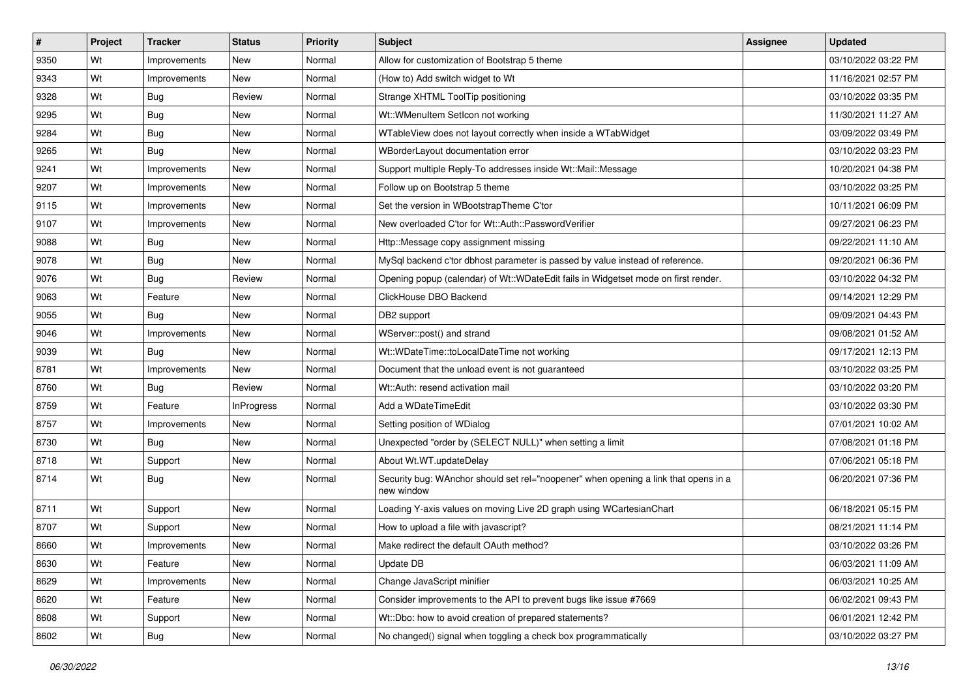| $\vert$ # | Project | <b>Tracker</b> | <b>Status</b>     | <b>Priority</b> | Subject                                                                                           | <b>Assignee</b> | <b>Updated</b>      |
|-----------|---------|----------------|-------------------|-----------------|---------------------------------------------------------------------------------------------------|-----------------|---------------------|
| 9350      | Wt      | Improvements   | New               | Normal          | Allow for customization of Bootstrap 5 theme                                                      |                 | 03/10/2022 03:22 PM |
| 9343      | Wt      | Improvements   | <b>New</b>        | Normal          | (How to) Add switch widget to Wt                                                                  |                 | 11/16/2021 02:57 PM |
| 9328      | Wt      | Bug            | Review            | Normal          | Strange XHTML ToolTip positioning                                                                 |                 | 03/10/2022 03:35 PM |
| 9295      | Wt      | Bug            | New               | Normal          | Wt::WMenuItem SetIcon not working                                                                 |                 | 11/30/2021 11:27 AM |
| 9284      | Wt      | Bug            | New               | Normal          | WTableView does not layout correctly when inside a WTabWidget                                     |                 | 03/09/2022 03:49 PM |
| 9265      | Wt      | Bug            | New               | Normal          | WBorderLayout documentation error                                                                 |                 | 03/10/2022 03:23 PM |
| 9241      | Wt      | Improvements   | New               | Normal          | Support multiple Reply-To addresses inside Wt::Mail::Message                                      |                 | 10/20/2021 04:38 PM |
| 9207      | Wt      | Improvements   | New               | Normal          | Follow up on Bootstrap 5 theme                                                                    |                 | 03/10/2022 03:25 PM |
| 9115      | Wt      | Improvements   | New               | Normal          | Set the version in WBootstrapTheme C'tor                                                          |                 | 10/11/2021 06:09 PM |
| 9107      | Wt      | Improvements   | <b>New</b>        | Normal          | New overloaded C'tor for Wt::Auth::PasswordVerifier                                               |                 | 09/27/2021 06:23 PM |
| 9088      | Wt      | <b>Bug</b>     | <b>New</b>        | Normal          | Http::Message copy assignment missing                                                             |                 | 09/22/2021 11:10 AM |
| 9078      | Wt      | Bug            | New               | Normal          | MySql backend c'tor dbhost parameter is passed by value instead of reference.                     |                 | 09/20/2021 06:36 PM |
| 9076      | Wt      | Bug            | Review            | Normal          | Opening popup (calendar) of Wt::WDateEdit fails in Widgetset mode on first render.                |                 | 03/10/2022 04:32 PM |
| 9063      | Wt      | Feature        | New               | Normal          | ClickHouse DBO Backend                                                                            |                 | 09/14/2021 12:29 PM |
| 9055      | Wt      | Bug            | New               | Normal          | DB2 support                                                                                       |                 | 09/09/2021 04:43 PM |
| 9046      | Wt      | Improvements   | New               | Normal          | WServer::post() and strand                                                                        |                 | 09/08/2021 01:52 AM |
| 9039      | Wt      | Bug            | New               | Normal          | Wt::WDateTime::toLocalDateTime not working                                                        |                 | 09/17/2021 12:13 PM |
| 8781      | Wt      | Improvements   | New               | Normal          | Document that the unload event is not guaranteed                                                  |                 | 03/10/2022 03:25 PM |
| 8760      | Wt      | Bug            | Review            | Normal          | Wt::Auth: resend activation mail                                                                  |                 | 03/10/2022 03:20 PM |
| 8759      | Wt      | Feature        | <b>InProgress</b> | Normal          | Add a WDateTimeEdit                                                                               |                 | 03/10/2022 03:30 PM |
| 8757      | Wt      | Improvements   | New               | Normal          | Setting position of WDialog                                                                       |                 | 07/01/2021 10:02 AM |
| 8730      | Wt      | Bug            | <b>New</b>        | Normal          | Unexpected "order by (SELECT NULL)" when setting a limit                                          |                 | 07/08/2021 01:18 PM |
| 8718      | Wt      | Support        | <b>New</b>        | Normal          | About Wt.WT.updateDelay                                                                           |                 | 07/06/2021 05:18 PM |
| 8714      | Wt      | Bug            | New               | Normal          | Security bug: WAnchor should set rel="noopener" when opening a link that opens in a<br>new window |                 | 06/20/2021 07:36 PM |
| 8711      | Wt      | Support        | <b>New</b>        | Normal          | Loading Y-axis values on moving Live 2D graph using WCartesianChart                               |                 | 06/18/2021 05:15 PM |
| 8707      | Wt      | Support        | New               | Normal          | How to upload a file with javascript?                                                             |                 | 08/21/2021 11:14 PM |
| 8660      | Wt      | Improvements   | New               | Normal          | Make redirect the default OAuth method?                                                           |                 | 03/10/2022 03:26 PM |
| 8630      | Wt      | Feature        | <b>New</b>        | Normal          | Update DB                                                                                         |                 | 06/03/2021 11:09 AM |
| 8629      | Wt      | Improvements   | New               | Normal          | Change JavaScript minifier                                                                        |                 | 06/03/2021 10:25 AM |
| 8620      | Wt      | Feature        | New               | Normal          | Consider improvements to the API to prevent bugs like issue #7669                                 |                 | 06/02/2021 09:43 PM |
| 8608      | Wt      | Support        | New               | Normal          | Wt::Dbo: how to avoid creation of prepared statements?                                            |                 | 06/01/2021 12:42 PM |
| 8602      | Wt      | <b>Bug</b>     | New               | Normal          | No changed() signal when toggling a check box programmatically                                    |                 | 03/10/2022 03:27 PM |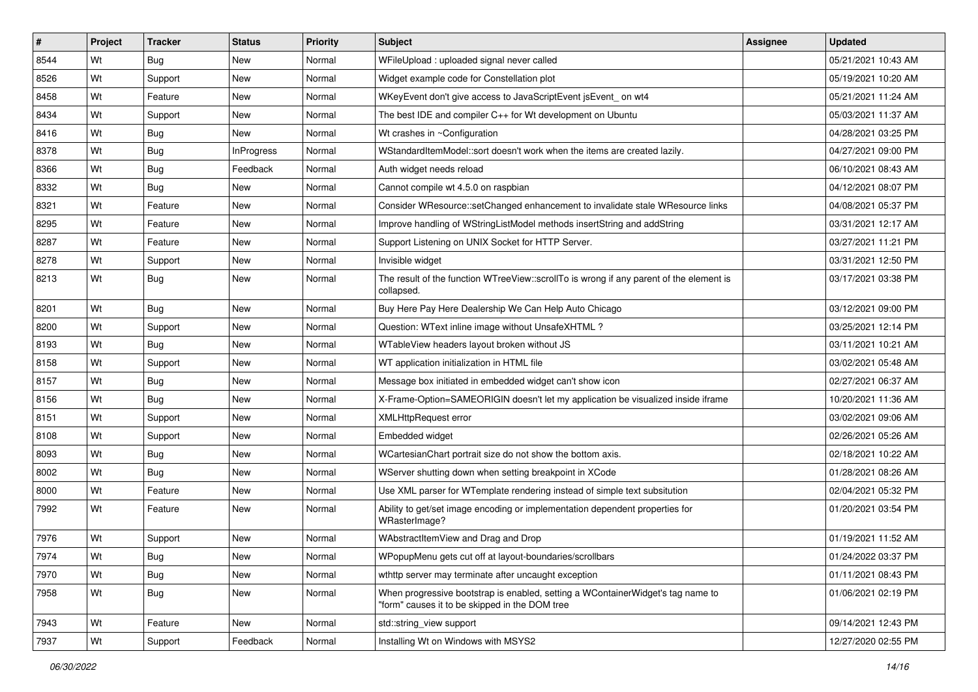| $\vert$ # | Project | <b>Tracker</b> | <b>Status</b>     | <b>Priority</b> | <b>Subject</b>                                                                                                                    | <b>Assignee</b> | <b>Updated</b>      |
|-----------|---------|----------------|-------------------|-----------------|-----------------------------------------------------------------------------------------------------------------------------------|-----------------|---------------------|
| 8544      | Wt      | Bug            | New               | Normal          | WFileUpload: uploaded signal never called                                                                                         |                 | 05/21/2021 10:43 AM |
| 8526      | Wt      | Support        | <b>New</b>        | Normal          | Widget example code for Constellation plot                                                                                        |                 | 05/19/2021 10:20 AM |
| 8458      | Wt      | Feature        | New               | Normal          | WKeyEvent don't give access to JavaScriptEvent jsEvent_on wt4                                                                     |                 | 05/21/2021 11:24 AM |
| 8434      | Wt      | Support        | New               | Normal          | The best IDE and compiler C++ for Wt development on Ubuntu                                                                        |                 | 05/03/2021 11:37 AM |
| 8416      | Wt      | Bug            | New               | Normal          | Wt crashes in ~Configuration                                                                                                      |                 | 04/28/2021 03:25 PM |
| 8378      | Wt      | Bug            | <b>InProgress</b> | Normal          | WStandardItemModel::sort doesn't work when the items are created lazily.                                                          |                 | 04/27/2021 09:00 PM |
| 8366      | Wt      | Bug            | Feedback          | Normal          | Auth widget needs reload                                                                                                          |                 | 06/10/2021 08:43 AM |
| 8332      | Wt      | Bug            | New               | Normal          | Cannot compile wt 4.5.0 on raspbian                                                                                               |                 | 04/12/2021 08:07 PM |
| 8321      | Wt      | Feature        | <b>New</b>        | Normal          | Consider WResource::setChanged enhancement to invalidate stale WResource links                                                    |                 | 04/08/2021 05:37 PM |
| 8295      | Wt      | Feature        | New               | Normal          | Improve handling of WStringListModel methods insertString and addString                                                           |                 | 03/31/2021 12:17 AM |
| 8287      | Wt      | Feature        | New               | Normal          | Support Listening on UNIX Socket for HTTP Server.                                                                                 |                 | 03/27/2021 11:21 PM |
| 8278      | Wt      | Support        | New               | Normal          | Invisible widget                                                                                                                  |                 | 03/31/2021 12:50 PM |
| 8213      | Wt      | Bug            | New               | Normal          | The result of the function WTreeView::scrollTo is wrong if any parent of the element is<br>collapsed.                             |                 | 03/17/2021 03:38 PM |
| 8201      | Wt      | Bug            | <b>New</b>        | Normal          | Buy Here Pay Here Dealership We Can Help Auto Chicago                                                                             |                 | 03/12/2021 09:00 PM |
| 8200      | Wt      | Support        | New               | Normal          | Question: WText inline image without UnsafeXHTML?                                                                                 |                 | 03/25/2021 12:14 PM |
| 8193      | Wt      | Bug            | New               | Normal          | WTableView headers layout broken without JS                                                                                       |                 | 03/11/2021 10:21 AM |
| 8158      | Wt      | Support        | New               | Normal          | WT application initialization in HTML file                                                                                        |                 | 03/02/2021 05:48 AM |
| 8157      | Wt      | Bug            | New               | Normal          | Message box initiated in embedded widget can't show icon                                                                          |                 | 02/27/2021 06:37 AM |
| 8156      | Wt      | Bug            | New               | Normal          | X-Frame-Option=SAMEORIGIN doesn't let my application be visualized inside iframe                                                  |                 | 10/20/2021 11:36 AM |
| 8151      | Wt      | Support        | New               | Normal          | <b>XMLHttpRequest error</b>                                                                                                       |                 | 03/02/2021 09:06 AM |
| 8108      | Wt      | Support        | New               | Normal          | Embedded widget                                                                                                                   |                 | 02/26/2021 05:26 AM |
| 8093      | Wt      | Bug            | New               | Normal          | WCartesianChart portrait size do not show the bottom axis.                                                                        |                 | 02/18/2021 10:22 AM |
| 8002      | Wt      | <b>Bug</b>     | New               | Normal          | WServer shutting down when setting breakpoint in XCode                                                                            |                 | 01/28/2021 08:26 AM |
| 8000      | Wt      | Feature        | New               | Normal          | Use XML parser for WTemplate rendering instead of simple text subsitution                                                         |                 | 02/04/2021 05:32 PM |
| 7992      | Wt      | Feature        | New               | Normal          | Ability to get/set image encoding or implementation dependent properties for<br>WRasterImage?                                     |                 | 01/20/2021 03:54 PM |
| 7976      | Wt      | Support        | New               | Normal          | WAbstractItemView and Drag and Drop                                                                                               |                 | 01/19/2021 11:52 AM |
| 7974      | Wt      | Bug            | New               | Normal          | WPopupMenu gets cut off at layout-boundaries/scrollbars                                                                           |                 | 01/24/2022 03:37 PM |
| 7970      | Wt      | <b>Bug</b>     | New               | Normal          | wthttp server may terminate after uncaught exception                                                                              |                 | 01/11/2021 08:43 PM |
| 7958      | Wt      | Bug            | New               | Normal          | When progressive bootstrap is enabled, setting a WContainerWidget's tag name to<br>"form" causes it to be skipped in the DOM tree |                 | 01/06/2021 02:19 PM |
| 7943      | Wt      | Feature        | New               | Normal          | std::string_view support                                                                                                          |                 | 09/14/2021 12:43 PM |
| 7937      | Wt      | Support        | Feedback          | Normal          | Installing Wt on Windows with MSYS2                                                                                               |                 | 12/27/2020 02:55 PM |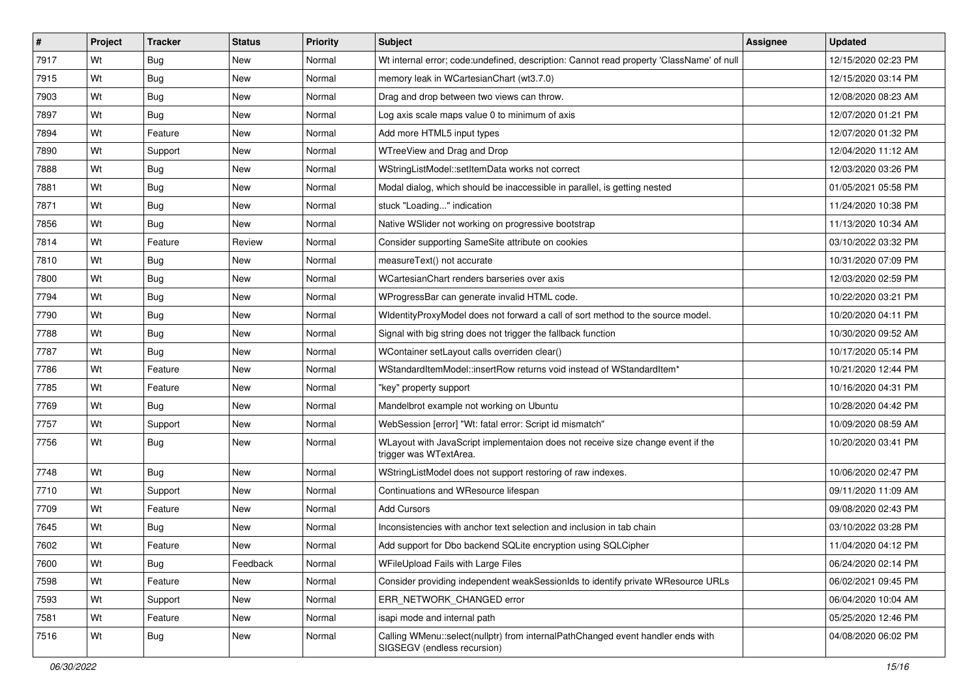| #    | Project | <b>Tracker</b> | <b>Status</b> | <b>Priority</b> | <b>Subject</b>                                                                                                 | Assignee | <b>Updated</b>      |
|------|---------|----------------|---------------|-----------------|----------------------------------------------------------------------------------------------------------------|----------|---------------------|
| 7917 | Wt      | Bug            | <b>New</b>    | Normal          | Wt internal error; code:undefined, description: Cannot read property 'ClassName' of null                       |          | 12/15/2020 02:23 PM |
| 7915 | Wt      | Bug            | New           | Normal          | memory leak in WCartesianChart (wt3.7.0)                                                                       |          | 12/15/2020 03:14 PM |
| 7903 | Wt      | Bug            | New           | Normal          | Drag and drop between two views can throw.                                                                     |          | 12/08/2020 08:23 AM |
| 7897 | Wt      | Bug            | New           | Normal          | Log axis scale maps value 0 to minimum of axis                                                                 |          | 12/07/2020 01:21 PM |
| 7894 | Wt      | Feature        | New           | Normal          | Add more HTML5 input types                                                                                     |          | 12/07/2020 01:32 PM |
| 7890 | Wt      | Support        | New           | Normal          | WTreeView and Drag and Drop                                                                                    |          | 12/04/2020 11:12 AM |
| 7888 | Wt      | <b>Bug</b>     | New           | Normal          | WStringListModel::setItemData works not correct                                                                |          | 12/03/2020 03:26 PM |
| 7881 | Wt      | Bug            | <b>New</b>    | Normal          | Modal dialog, which should be inaccessible in parallel, is getting nested                                      |          | 01/05/2021 05:58 PM |
| 7871 | Wt      | Bug            | New           | Normal          | stuck "Loading" indication                                                                                     |          | 11/24/2020 10:38 PM |
| 7856 | Wt      | Bug            | <b>New</b>    | Normal          | Native WSlider not working on progressive bootstrap                                                            |          | 11/13/2020 10:34 AM |
| 7814 | Wt      | Feature        | Review        | Normal          | Consider supporting SameSite attribute on cookies                                                              |          | 03/10/2022 03:32 PM |
| 7810 | Wt      | <b>Bug</b>     | <b>New</b>    | Normal          | measureText() not accurate                                                                                     |          | 10/31/2020 07:09 PM |
| 7800 | Wt      | Bug            | New           | Normal          | WCartesianChart renders barseries over axis                                                                    |          | 12/03/2020 02:59 PM |
| 7794 | Wt      | Bug            | New           | Normal          | WProgressBar can generate invalid HTML code.                                                                   |          | 10/22/2020 03:21 PM |
| 7790 | Wt      | <b>Bug</b>     | <b>New</b>    | Normal          | WidentityProxyModel does not forward a call of sort method to the source model.                                |          | 10/20/2020 04:11 PM |
| 7788 | Wt      | Bug            | New           | Normal          | Signal with big string does not trigger the fallback function                                                  |          | 10/30/2020 09:52 AM |
| 7787 | Wt      | Bug            | New           | Normal          | WContainer setLayout calls overriden clear()                                                                   |          | 10/17/2020 05:14 PM |
| 7786 | Wt      | Feature        | New           | Normal          | WStandardItemModel::insertRow returns void instead of WStandardItem*                                           |          | 10/21/2020 12:44 PM |
| 7785 | Wt      | Feature        | New           | Normal          | "key" property support                                                                                         |          | 10/16/2020 04:31 PM |
| 7769 | Wt      | Bug            | New           | Normal          | Mandelbrot example not working on Ubuntu                                                                       |          | 10/28/2020 04:42 PM |
| 7757 | Wt      | Support        | New           | Normal          | WebSession [error] "Wt: fatal error: Script id mismatch"                                                       |          | 10/09/2020 08:59 AM |
| 7756 | Wt      | Bug            | New           | Normal          | WLayout with JavaScript implementaion does not receive size change event if the<br>trigger was WTextArea.      |          | 10/20/2020 03:41 PM |
| 7748 | Wt      | Bug            | New           | Normal          | WStringListModel does not support restoring of raw indexes.                                                    |          | 10/06/2020 02:47 PM |
| 7710 | Wt      | Support        | <b>New</b>    | Normal          | Continuations and WResource lifespan                                                                           |          | 09/11/2020 11:09 AM |
| 7709 | Wt      | Feature        | New           | Normal          | <b>Add Cursors</b>                                                                                             |          | 09/08/2020 02:43 PM |
| 7645 | Wt      | <b>Bug</b>     | New           | Normal          | Inconsistencies with anchor text selection and inclusion in tab chain                                          |          | 03/10/2022 03:28 PM |
| 7602 | Wt      | Feature        | New           | Normal          | Add support for Dbo backend SQLite encryption using SQLCipher                                                  |          | 11/04/2020 04:12 PM |
| 7600 | Wt      | <b>Bug</b>     | Feedback      | Normal          | WFileUpload Fails with Large Files                                                                             |          | 06/24/2020 02:14 PM |
| 7598 | Wt      | Feature        | New           | Normal          | Consider providing independent weakSessionIds to identify private WResource URLs                               |          | 06/02/2021 09:45 PM |
| 7593 | Wt      | Support        | New           | Normal          | ERR_NETWORK_CHANGED error                                                                                      |          | 06/04/2020 10:04 AM |
| 7581 | Wt      | Feature        | New           | Normal          | isapi mode and internal path                                                                                   |          | 05/25/2020 12:46 PM |
| 7516 | Wt      | Bug            | New           | Normal          | Calling WMenu::select(nullptr) from internalPathChanged event handler ends with<br>SIGSEGV (endless recursion) |          | 04/08/2020 06:02 PM |